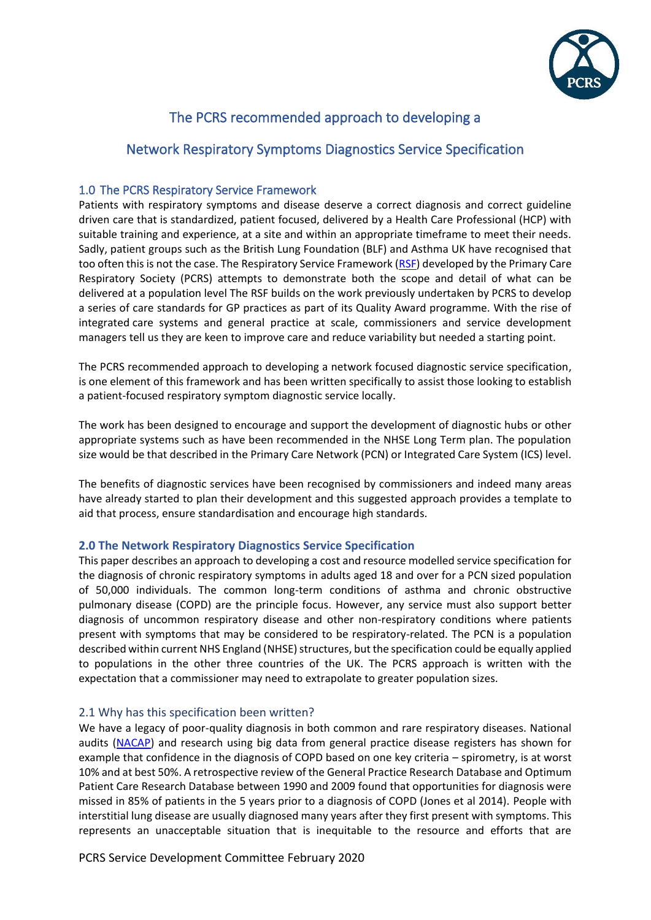

## The PCRS recommended approach to developing a

## Network Respiratory Symptoms Diagnostics Service Specification

## 1.0 The PCRS Respiratory Service Framework

Patients with respiratory symptoms and disease deserve a correct diagnosis and correct guideline driven care that is standardized, patient focused, delivered by a Health Care Professional (HCP) with suitable training and experience, at a site and within an appropriate timeframe to meet their needs. Sadly, patient groups such as the British Lung Foundation (BLF) and Asthma UK have recognised that too often this is not the case. The Respiratory Service Framework [\(RSF\)](https://www.pcrs-uk.org/sites/pcrs-uk.org/files/Respiratory_Service_Framework_2019.pdf) developed by the Primary Care Respiratory Society (PCRS) attempts to demonstrate both the scope and detail of what can be delivered at a population level The RSF builds on the work previously undertaken by PCRS to develop a series of care standards for GP practices as part of its Quality Award programme. With the rise of integrated care systems and general practice at scale, commissioners and service development managers tell us they are keen to improve care and reduce variability but needed a starting point.

The PCRS recommended approach to developing a network focused diagnostic service specification, is one element of this framework and has been written specifically to assist those looking to establish a patient-focused respiratory symptom diagnostic service locally.

The work has been designed to encourage and support the development of diagnostic hubs or other appropriate systems such as have been recommended in the NHSE Long Term plan. The population size would be that described in the Primary Care Network (PCN) or Integrated Care System (ICS) level.

The benefits of diagnostic services have been recognised by commissioners and indeed many areas have already started to plan their development and this suggested approach provides a template to aid that process, ensure standardisation and encourage high standards.

## **2.0 The Network Respiratory Diagnostics Service Specification**

This paper describes an approach to developing a cost and resource modelled service specification for the diagnosis of chronic respiratory symptoms in adults aged 18 and over for a PCN sized population of 50,000 individuals. The common long-term conditions of asthma and chronic obstructive pulmonary disease (COPD) are the principle focus. However, any service must also support better diagnosis of uncommon respiratory disease and other non-respiratory conditions where patients present with symptoms that may be considered to be respiratory-related. The PCN is a population described within current NHS England (NHSE) structures, but the specification could be equally applied to populations in the other three countries of the UK. The PCRS approach is written with the expectation that a commissioner may need to extrapolate to greater population sizes.

## 2.1 Why has this specification been written?

We have a legacy of poor-quality diagnosis in both common and rare respiratory diseases. National audits [\(NACAP\)](https://www.rcplondon.ac.uk/projects/national-asthma-and-copd-audit-programme-nacap-primary-care-workstream) and research using big data from general practice disease registers has shown for example that confidence in the diagnosis of COPD based on one key criteria – spirometry, is at worst 10% and at best 50%. A retrospective review of the General Practice Research Database and Optimum Patient Care Research Database between 1990 and 2009 found that opportunities for diagnosis were missed in 85% of patients in the 5 years prior to a diagnosis of COPD (Jones et al 2014). People with interstitial lung disease are usually diagnosed many years after they first present with symptoms. This represents an unacceptable situation that is inequitable to the resource and efforts that are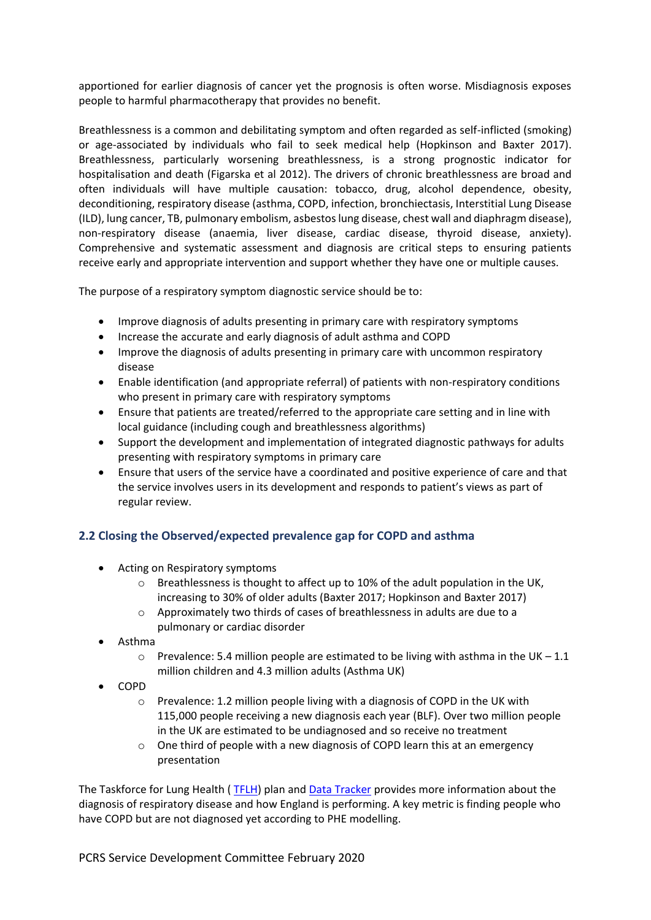apportioned for earlier diagnosis of cancer yet the prognosis is often worse. Misdiagnosis exposes people to harmful pharmacotherapy that provides no benefit.

Breathlessness is a common and debilitating symptom and often regarded as self-inflicted (smoking) or age-associated by individuals who fail to seek medical help (Hopkinson and Baxter 2017). Breathlessness, particularly worsening breathlessness, is a strong prognostic indicator for hospitalisation and death (Figarska et al 2012). The drivers of chronic breathlessness are broad and often individuals will have multiple causation: tobacco, drug, alcohol dependence, obesity, deconditioning, respiratory disease (asthma, COPD, infection, bronchiectasis, Interstitial Lung Disease (ILD), lung cancer, TB, pulmonary embolism, asbestos lung disease, chest wall and diaphragm disease), non-respiratory disease (anaemia, liver disease, cardiac disease, thyroid disease, anxiety). Comprehensive and systematic assessment and diagnosis are critical steps to ensuring patients receive early and appropriate intervention and support whether they have one or multiple causes.

The purpose of a respiratory symptom diagnostic service should be to:

- Improve diagnosis of adults presenting in primary care with respiratory symptoms
- Increase the accurate and early diagnosis of adult asthma and COPD
- Improve the diagnosis of adults presenting in primary care with uncommon respiratory disease
- Enable identification (and appropriate referral) of patients with non-respiratory conditions who present in primary care with respiratory symptoms
- Ensure that patients are treated/referred to the appropriate care setting and in line with local guidance (including cough and breathlessness algorithms)
- Support the development and implementation of integrated diagnostic pathways for adults presenting with respiratory symptoms in primary care
- Ensure that users of the service have a coordinated and positive experience of care and that the service involves users in its development and responds to patient's views as part of regular review.

## **2.2 Closing the Observed/expected prevalence gap for COPD and asthma**

- Acting on Respiratory symptoms
	- $\circ$  Breathlessness is thought to affect up to 10% of the adult population in the UK, increasing to 30% of older adults (Baxter 2017; Hopkinson and Baxter 2017)
	- o Approximately two thirds of cases of breathlessness in adults are due to a pulmonary or cardiac disorder
- Asthma
	- $\circ$  Prevalence: 5.4 million people are estimated to be living with asthma in the UK 1.1 million children and 4.3 million adults (Asthma UK)
- COPD
	- o Prevalence: 1.2 million people living with a diagnosis of COPD in the UK with 115,000 people receiving a new diagnosis each year (BLF). Over two million people in the UK are estimated to be undiagnosed and so receive no treatment
	- o One third of people with a new diagnosis of COPD learn this at an emergency presentation

The Taskforce for Lung Health ( [TFLH\)](https://www.blf.org.uk/taskforce) plan an[d Data Tracker](https://www.blf.org.uk/taskforce/data-tracker) provides more information about the diagnosis of respiratory disease and how England is performing. A key metric is finding people who have COPD but are not diagnosed yet according to PHE modelling.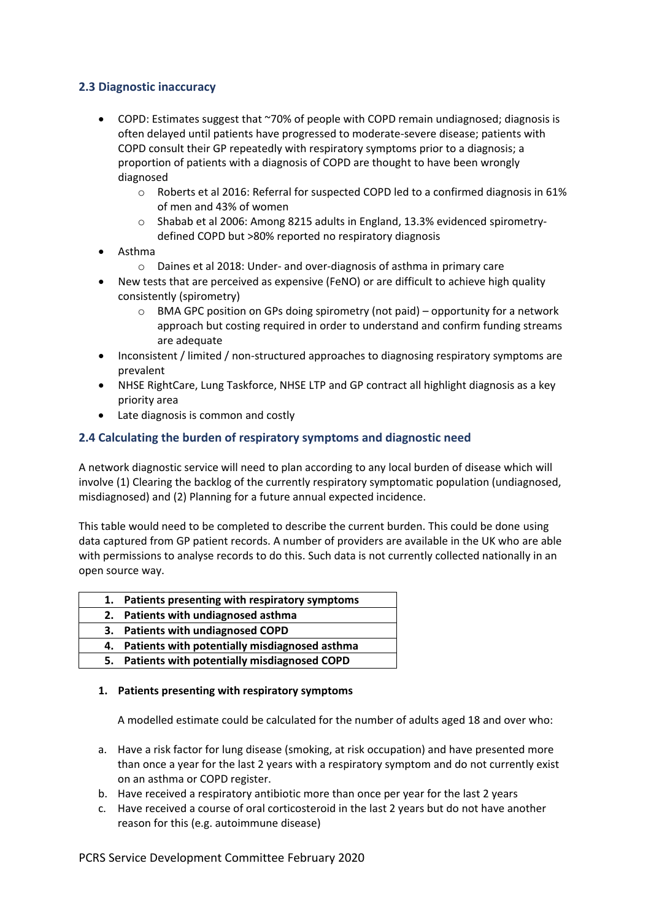## **2.3 Diagnostic inaccuracy**

- COPD: Estimates suggest that ~70% of people with COPD remain undiagnosed; diagnosis is often delayed until patients have progressed to moderate-severe disease; patients with COPD consult their GP repeatedly with respiratory symptoms prior to a diagnosis; a proportion of patients with a diagnosis of COPD are thought to have been wrongly diagnosed
	- $\circ$  Roberts et al 2016: Referral for suspected COPD led to a confirmed diagnosis in 61% of men and 43% of women
	- o Shabab et al 2006: Among 8215 adults in England, 13.3% evidenced spirometrydefined COPD but >80% reported no respiratory diagnosis
- Asthma
	- o Daines et al 2018: Under- and over-diagnosis of asthma in primary care
- New tests that are perceived as expensive (FeNO) or are difficult to achieve high quality consistently (spirometry)
	- o BMA GPC position on GPs doing spirometry (not paid) opportunity for a network approach but costing required in order to understand and confirm funding streams are adequate
- Inconsistent / limited / non-structured approaches to diagnosing respiratory symptoms are prevalent
- NHSE RightCare, Lung Taskforce, NHSE LTP and GP contract all highlight diagnosis as a key priority area
- Late diagnosis is common and costly

## **2.4 Calculating the burden of respiratory symptoms and diagnostic need**

A network diagnostic service will need to plan according to any local burden of disease which will involve (1) Clearing the backlog of the currently respiratory symptomatic population (undiagnosed, misdiagnosed) and (2) Planning for a future annual expected incidence.

This table would need to be completed to describe the current burden. This could be done using data captured from GP patient records. A number of providers are available in the UK who are able with permissions to analyse records to do this. Such data is not currently collected nationally in an open source way.

| 1. Patients presenting with respiratory symptoms |
|--------------------------------------------------|
| 2. Patients with undiagnosed asthma              |
| 3. Patients with undiagnosed COPD                |
| 4. Patients with potentially misdiagnosed asthma |
| 5. Patients with potentially misdiagnosed COPD   |

#### **1. Patients presenting with respiratory symptoms**

A modelled estimate could be calculated for the number of adults aged 18 and over who:

- a. Have a risk factor for lung disease (smoking, at risk occupation) and have presented more than once a year for the last 2 years with a respiratory symptom and do not currently exist on an asthma or COPD register.
- b. Have received a respiratory antibiotic more than once per year for the last 2 years
- c. Have received a course of oral corticosteroid in the last 2 years but do not have another reason for this (e.g. autoimmune disease)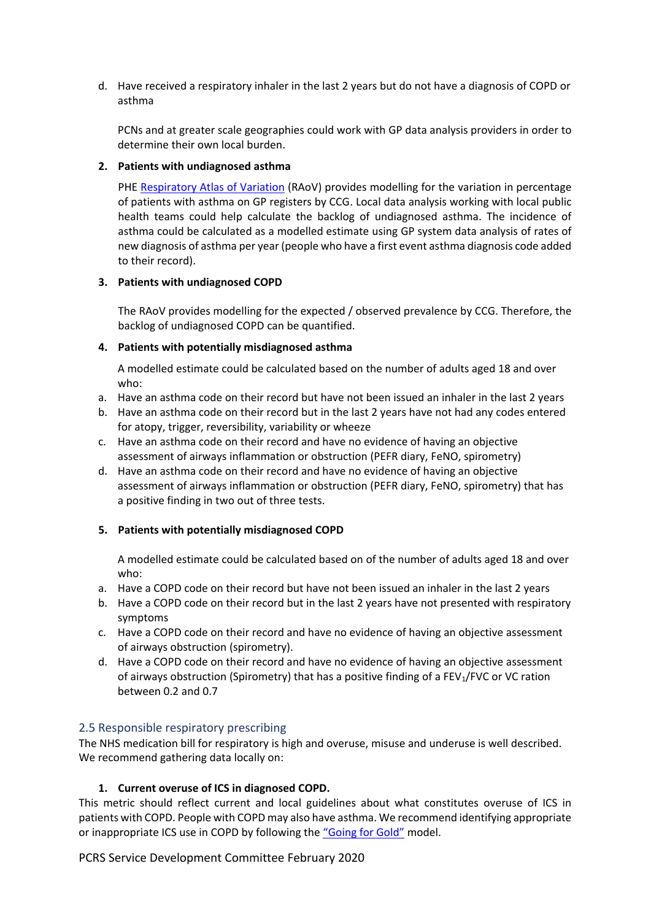d. Have received a respiratory inhaler in the last 2 years but do not have a diagnosis of COPD or asthma

PCNs and at greater scale geographies could work with GP data analysis providers in order to determine their own local burden.

#### **2. Patients with undiagnosed asthma**

PHE [Respiratory Atlas of Variation](https://fingertips.phe.org.uk/profile/atlas-of-variation) (RAoV) provides modelling for the variation in percentage of patients with asthma on GP registers by CCG. Local data analysis working with local public health teams could help calculate the backlog of undiagnosed asthma. The incidence of asthma could be calculated as a modelled estimate using GP system data analysis of rates of new diagnosis of asthma per year (people who have a first event asthma diagnosis code added to their record).

#### **3. Patients with undiagnosed COPD**

The RAoV provides modelling for the expected / observed prevalence by CCG. Therefore, the backlog of undiagnosed COPD can be quantified.

#### **4. Patients with potentially misdiagnosed asthma**

A modelled estimate could be calculated based on the number of adults aged 18 and over who:

- a. Have an asthma code on their record but have not been issued an inhaler in the last 2 years
- b. Have an asthma code on their record but in the last 2 years have not had any codes entered for atopy, trigger, reversibility, variability or wheeze
- c. Have an asthma code on their record and have no evidence of having an objective assessment of airways inflammation or obstruction (PEFR diary, FeNO, spirometry)
- d. Have an asthma code on their record and have no evidence of having an objective assessment of airways inflammation or obstruction (PEFR diary, FeNO, spirometry) that has a positive finding in two out of three tests.

## **5. Patients with potentially misdiagnosed COPD**

A modelled estimate could be calculated based on of the number of adults aged 18 and over who:

- a. Have a COPD code on their record but have not been issued an inhaler in the last 2 years
- b. Have a COPD code on their record but in the last 2 years have not presented with respiratory symptoms
- c. Have a COPD code on their record and have no evidence of having an objective assessment of airways obstruction (spirometry).
- d. Have a COPD code on their record and have no evidence of having an objective assessment of airways obstruction (Spirometry) that has a positive finding of a FEV<sub>1</sub>/FVC or VC ration between 0.2 and 0.7

## 2.5 Responsible respiratory prescribing

The NHS medication bill for respiratory is high and overuse, misuse and underuse is well described. We recommend gathering data locally on:

## **1. Current overuse of ICS in diagnosed COPD.**

This metric should reflect current and local guidelines about what constitutes overuse of ICS in patients with COPD. People with COPD may also have asthma. We recommend identifying appropriate or inappropriate ICS use in COPD by following the ["Going for Gold"](https://www.pcrs-uk.org/sites/pcrs-uk.org/files/Gold%20article%20only_REV_March2018.pdf) model.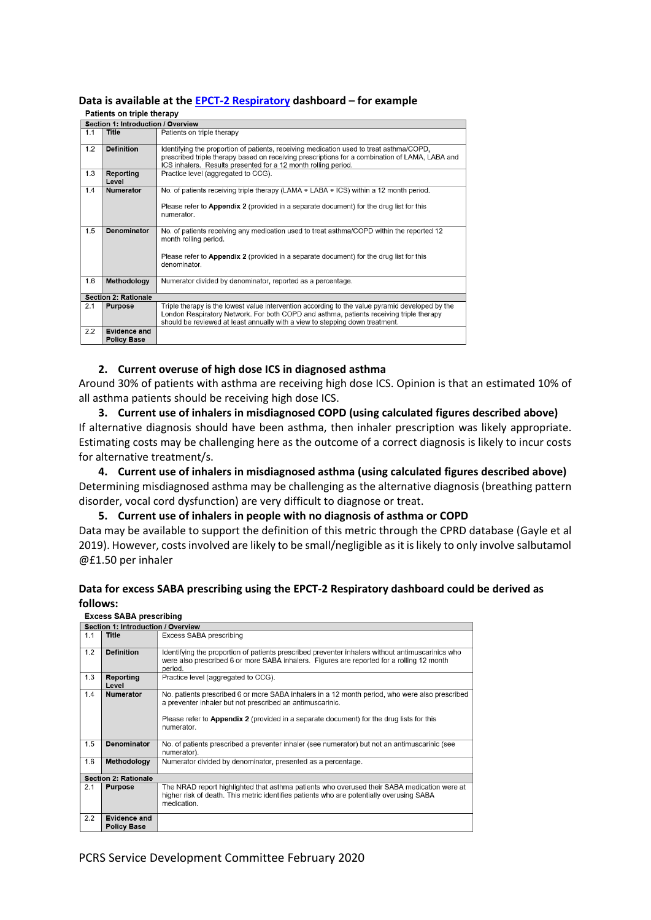# **Data is available at th[e EPCT-2 Respiratory](https://www.nhsbsa.nhs.uk/epact2/dashboards-and-specifications/respiratory-dashboard) dashboard – for example**

|     | Section 1: Introduction / Overview |                                                                                                                                                                                                                                                             |
|-----|------------------------------------|-------------------------------------------------------------------------------------------------------------------------------------------------------------------------------------------------------------------------------------------------------------|
| 1.1 | Title                              | Patients on triple therapy                                                                                                                                                                                                                                  |
| 1.2 | <b>Definition</b>                  | Identifying the proportion of patients, receiving medication used to treat asthma/COPD,<br>prescribed triple therapy based on receiving prescriptions for a combination of LAMA, LABA and<br>ICS inhalers. Results presented for a 12 month rolling period. |
| 1.3 | Reporting<br>Level                 | Practice level (aggregated to CCG).                                                                                                                                                                                                                         |
| 1.4 | <b>Numerator</b>                   | No. of patients receiving triple therapy (LAMA + LABA + ICS) within a 12 month period.<br>Please refer to <b>Annandiv 2</b> (provided in a separate document) for the drug list for this                                                                    |

| 1.3 | Reporting<br>Level                        | Practice level (aggregated to CCG).                                                                                                                                                                                                                                        |
|-----|-------------------------------------------|----------------------------------------------------------------------------------------------------------------------------------------------------------------------------------------------------------------------------------------------------------------------------|
| 1.4 | <b>Numerator</b>                          | No. of patients receiving triple therapy (LAMA + LABA + ICS) within a 12 month period.<br>Please refer to <b>Appendix 2</b> (provided in a separate document) for the drug list for this<br>numerator.                                                                     |
| 1.5 | <b>Denominator</b>                        | No. of patients receiving any medication used to treat asthma/COPD within the reported 12<br>month rolling period.<br>Please refer to <b>Appendix 2</b> (provided in a separate document) for the drug list for this<br>denominator.                                       |
| 1.6 | Methodology                               | Numerator divided by denominator, reported as a percentage.                                                                                                                                                                                                                |
|     | <b>Section 2: Rationale</b>               |                                                                                                                                                                                                                                                                            |
| 2.1 | <b>Purpose</b>                            | Triple therapy is the lowest value intervention according to the value pyramid developed by the<br>London Respiratory Network. For both COPD and asthma, patients receiving triple therapy<br>should be reviewed at least annually with a view to stepping down treatment. |
| 2.2 | <b>Evidence and</b><br><b>Policy Base</b> |                                                                                                                                                                                                                                                                            |

#### **2. Current overuse of high dose ICS in diagnosed asthma**

Around 30% of patients with asthma are receiving high dose ICS. Opinion is that an estimated 10% of all asthma patients should be receiving high dose ICS.

**3. Current use of inhalers in misdiagnosed COPD (using calculated figures described above)** If alternative diagnosis should have been asthma, then inhaler prescription was likely appropriate. Estimating costs may be challenging here as the outcome of a correct diagnosis is likely to incur costs for alternative treatment/s.

**4. Current use of inhalers in misdiagnosed asthma (using calculated figures described above)** Determining misdiagnosed asthma may be challenging as the alternative diagnosis (breathing pattern disorder, vocal cord dysfunction) are very difficult to diagnose or treat.

**5. Current use of inhalers in people with no diagnosis of asthma or COPD**

Data may be available to support the definition of this metric through the CPRD database (Gayle et al 2019). However, costs involved are likely to be small/negligible as it is likely to only involve salbutamol @£1.50 per inhaler

## **Data for excess SABA prescribing using the EPCT-2 Respiratory dashboard could be derived as follows:**

|     | Section 1: Introduction / Overview |                                                                                                                                                                                                                                                                |
|-----|------------------------------------|----------------------------------------------------------------------------------------------------------------------------------------------------------------------------------------------------------------------------------------------------------------|
| 1.1 | Title                              | Excess SABA prescribing                                                                                                                                                                                                                                        |
| 1.2 | <b>Definition</b>                  | Identifying the proportion of patients prescribed preventer inhalers without antimuscarinics who<br>were also prescribed 6 or more SABA inhalers. Figures are reported for a rolling 12 month<br>period.                                                       |
| 1.3 | Reporting<br>Level                 | Practice level (aggregated to CCG).                                                                                                                                                                                                                            |
| 1.4 | <b>Numerator</b>                   | No. patients prescribed 6 or more SABA inhalers in a 12 month period, who were also prescribed<br>a preventer inhaler but not prescribed an antimuscarinic.<br>Please refer to <b>Appendix 2</b> (provided in a separate document) for the drug lists for this |
|     |                                    | numerator.                                                                                                                                                                                                                                                     |
| 1.5 | Denominator                        | No. of patients prescribed a preventer inhaler (see numerator) but not an antimuscarinic (see<br>numerator).                                                                                                                                                   |
| 1.6 | Methodology                        | Numerator divided by denominator, presented as a percentage.                                                                                                                                                                                                   |
|     | <b>Section 2: Rationale</b>        |                                                                                                                                                                                                                                                                |
| 2.1 | <b>Purpose</b>                     | The NRAD report highlighted that asthma patients who overused their SABA medication were at<br>higher risk of death. This metric identifies patients who are potentially overusing SABA<br>medication.                                                         |
| 2.2 | Evidence and<br><b>Policy Base</b> |                                                                                                                                                                                                                                                                |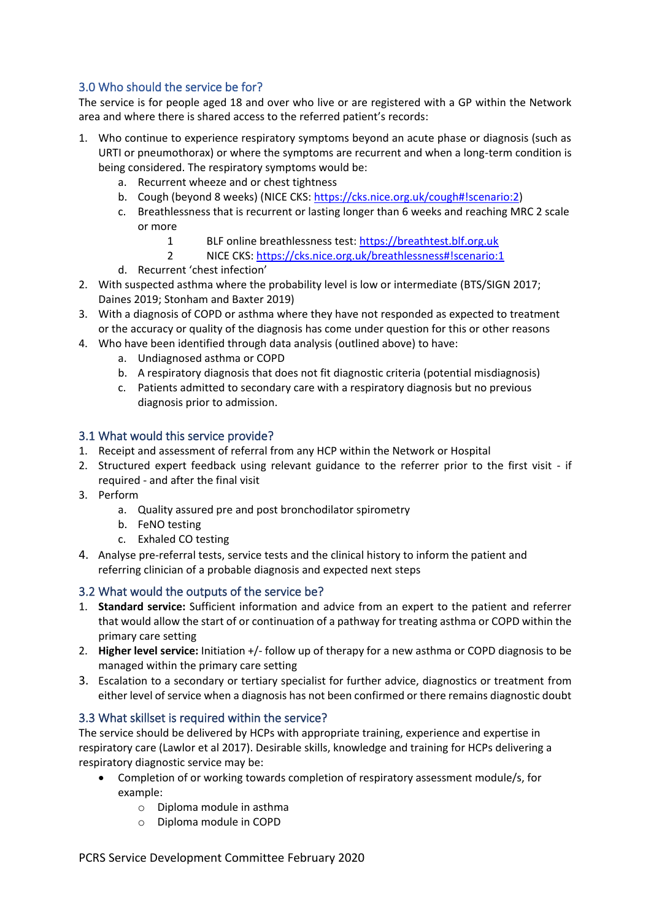## 3.0 Who should the service be for?

The service is for people aged 18 and over who live or are registered with a GP within the Network area and where there is shared access to the referred patient's records:

- 1. Who continue to experience respiratory symptoms beyond an acute phase or diagnosis (such as URTI or pneumothorax) or where the symptoms are recurrent and when a long-term condition is being considered. The respiratory symptoms would be:
	- a. Recurrent wheeze and or chest tightness
	- b. Cough (beyond 8 weeks) (NICE CKS: [https://cks.nice.org.uk/cough#!scenario:2\)](https://cks.nice.org.uk/cough#!scenario:2)
	- c. Breathlessness that is recurrent or lasting longer than 6 weeks and reaching MRC 2 scale or more
		- 1 BLF online breathlessness test: [https://breathtest.blf.org.uk](https://breathtest.blf.org.uk/)
		- 2 NICE CKS[: https://cks.nice.org.uk/breathlessness#!scenario:1](https://cks.nice.org.uk/breathlessness#!scenario:1)
	- d. Recurrent 'chest infection'
- 2. With suspected asthma where the probability level is low or intermediate (BTS/SIGN 2017; Daines 2019; Stonham and Baxter 2019)
- 3. With a diagnosis of COPD or asthma where they have not responded as expected to treatment or the accuracy or quality of the diagnosis has come under question for this or other reasons
- 4. Who have been identified through data analysis (outlined above) to have:
	- a. Undiagnosed asthma or COPD
	- b. A respiratory diagnosis that does not fit diagnostic criteria (potential misdiagnosis)
	- c. Patients admitted to secondary care with a respiratory diagnosis but no previous diagnosis prior to admission.

## 3.1 What would this service provide?

- 1. Receipt and assessment of referral from any HCP within the Network or Hospital
- 2. Structured expert feedback using relevant guidance to the referrer prior to the first visit if required - and after the final visit
- 3. Perform
	- a. Quality assured pre and post bronchodilator spirometry
	- b. FeNO testing
	- c. Exhaled CO testing
- 4. Analyse pre-referral tests, service tests and the clinical history to inform the patient and referring clinician of a probable diagnosis and expected next steps

## 3.2 What would the outputs of the service be?

- 1. **Standard service:** Sufficient information and advice from an expert to the patient and referrer that would allow the start of or continuation of a pathway for treating asthma or COPD within the primary care setting
- 2. **Higher level service:** Initiation +/- follow up of therapy for a new asthma or COPD diagnosis to be managed within the primary care setting
- 3. Escalation to a secondary or tertiary specialist for further advice, diagnostics or treatment from either level of service when a diagnosis has not been confirmed or there remains diagnostic doubt

## 3.3 What skillset is required within the service?

The service should be delivered by HCPs with appropriate training, experience and expertise in respiratory care (Lawlor et al 2017). Desirable skills, knowledge and training for HCPs delivering a respiratory diagnostic service may be:

- Completion of or working towards completion of respiratory assessment module/s, for example:
	- o Diploma module in asthma
	- o Diploma module in COPD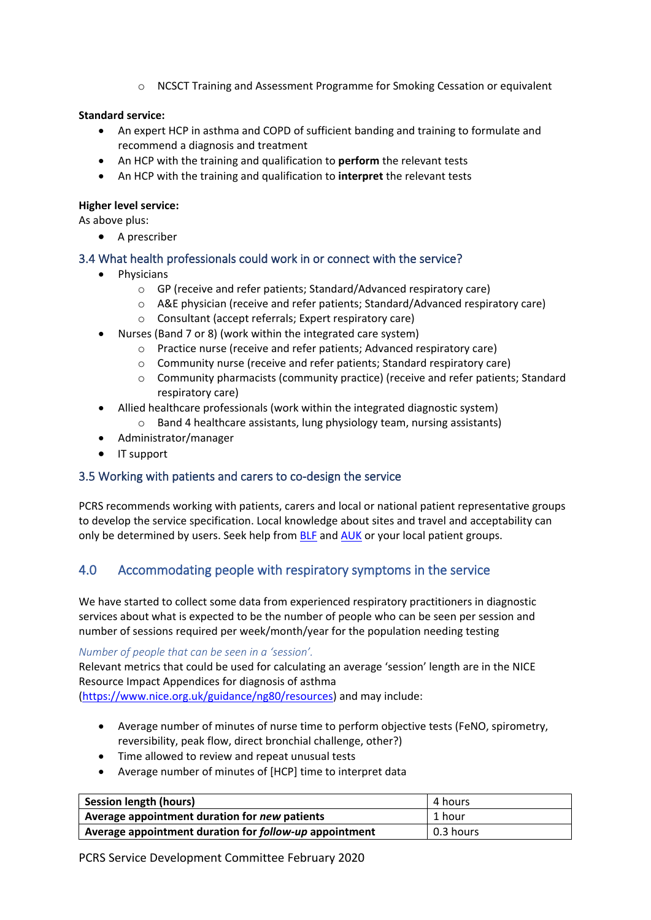o NCSCT Training and Assessment Programme for Smoking Cessation or equivalent

#### **Standard service:**

- An expert HCP in asthma and COPD of sufficient banding and training to formulate and recommend a diagnosis and treatment
- An HCP with the training and qualification to **perform** the relevant tests
- An HCP with the training and qualification to **interpret** the relevant tests

#### **Higher level service:**

As above plus:

• A prescriber

## 3.4 What health professionals could work in or connect with the service?

- Physicians
	- o GP (receive and refer patients; Standard/Advanced respiratory care)
	- o A&E physician (receive and refer patients; Standard/Advanced respiratory care)
	- o Consultant (accept referrals; Expert respiratory care)
- Nurses (Band 7 or 8) (work within the integrated care system)
	- o Practice nurse (receive and refer patients; Advanced respiratory care)
	- o Community nurse (receive and refer patients; Standard respiratory care)
	- o Community pharmacists (community practice) (receive and refer patients; Standard respiratory care)
- Allied healthcare professionals (work within the integrated diagnostic system)
	- o Band 4 healthcare assistants, lung physiology team, nursing assistants)
- Administrator/manager
- IT support

## 3.5 Working with patients and carers to co-design the service

PCRS recommends working with patients, carers and local or national patient representative groups to develop the service specification. Local knowledge about sites and travel and acceptability can only be determined by users. Seek help from [BLF](https://www.blf.org.uk/) and [AUK](https://www.asthma.org.uk/) or your local patient groups.

## 4.0 Accommodating people with respiratory symptoms in the service

We have started to collect some data from experienced respiratory practitioners in diagnostic services about what is expected to be the number of people who can be seen per session and number of sessions required per week/month/year for the population needing testing

*Number of people that can be seen in a 'session'.*

Relevant metrics that could be used for calculating an average 'session' length are in the NICE Resource Impact Appendices for diagnosis of asthma [\(https://www.nice.org.uk/guidance/ng80/resources\)](https://www.nice.org.uk/guidance/ng80/resources) and may include:

- Average number of minutes of nurse time to perform objective tests (FeNO, spirometry,
- reversibility, peak flow, direct bronchial challenge, other?)
- Time allowed to review and repeat unusual tests
- Average number of minutes of [HCP] time to interpret data

| <b>Session length (hours)</b>                          | 4 hours   |
|--------------------------------------------------------|-----------|
| Average appointment duration for new patients          | 1 hour    |
| Average appointment duration for follow-up appointment | 0.3 hours |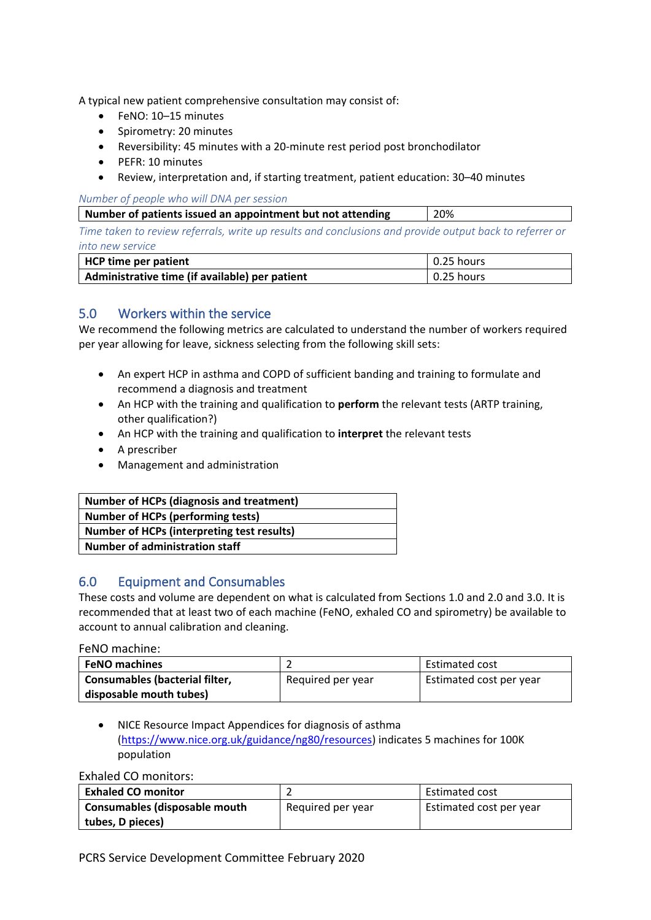A typical new patient comprehensive consultation may consist of:

- FeNO: 10–15 minutes
- Spirometry: 20 minutes
- Reversibility: 45 minutes with a 20-minute rest period post bronchodilator
- PEFR: 10 minutes
- Review, interpretation and, if starting treatment, patient education: 30–40 minutes

*Number of people who will DNA per session* 

|  |  |  |  | Number of patients issued an appointment but not attending |  |  | 20% |  |  |  |
|--|--|--|--|------------------------------------------------------------|--|--|-----|--|--|--|
|  |  |  |  |                                                            |  |  |     |  |  |  |

*Time taken to review referrals, write up results and conclusions and provide output back to referrer or into new service* 

| HCP time per patient                           | $\vert$ 0.25 hours |
|------------------------------------------------|--------------------|
| Administrative time (if available) per patient | $\vert$ 0.25 hours |

## 5.0 Workers within the service

We recommend the following metrics are calculated to understand the number of workers required per year allowing for leave, sickness selecting from the following skill sets:

- An expert HCP in asthma and COPD of sufficient banding and training to formulate and recommend a diagnosis and treatment
- An HCP with the training and qualification to **perform** the relevant tests (ARTP training, other qualification?)
- An HCP with the training and qualification to **interpret** the relevant tests
- A prescriber
- Management and administration

| <b>Number of HCPs (diagnosis and treatment)</b>   |
|---------------------------------------------------|
| <b>Number of HCPs (performing tests)</b>          |
| <b>Number of HCPs (interpreting test results)</b> |
| Number of administration staff                    |

## 6.0 Equipment and Consumables

These costs and volume are dependent on what is calculated from Sections 1.0 and 2.0 and 3.0. It is recommended that at least two of each machine (FeNO, exhaled CO and spirometry) be available to account to annual calibration and cleaning.

FeNO machine:

| <b>FeNO machines</b>           |                   | Estimated cost          |
|--------------------------------|-------------------|-------------------------|
| Consumables (bacterial filter, | Required per year | Estimated cost per year |
| disposable mouth tubes)        |                   |                         |

• NICE Resource Impact Appendices for diagnosis of asthma [\(https://www.nice.org.uk/guidance/ng80/resources\)](https://www.nice.org.uk/guidance/ng80/resources) indicates 5 machines for 100K population

Exhaled CO monitors:

| <b>Exhaled CO monitor</b>     |                   | <b>Estimated cost</b>   |  |  |
|-------------------------------|-------------------|-------------------------|--|--|
| Consumables (disposable mouth | Required per year | Estimated cost per year |  |  |
| tubes, D pieces)              |                   |                         |  |  |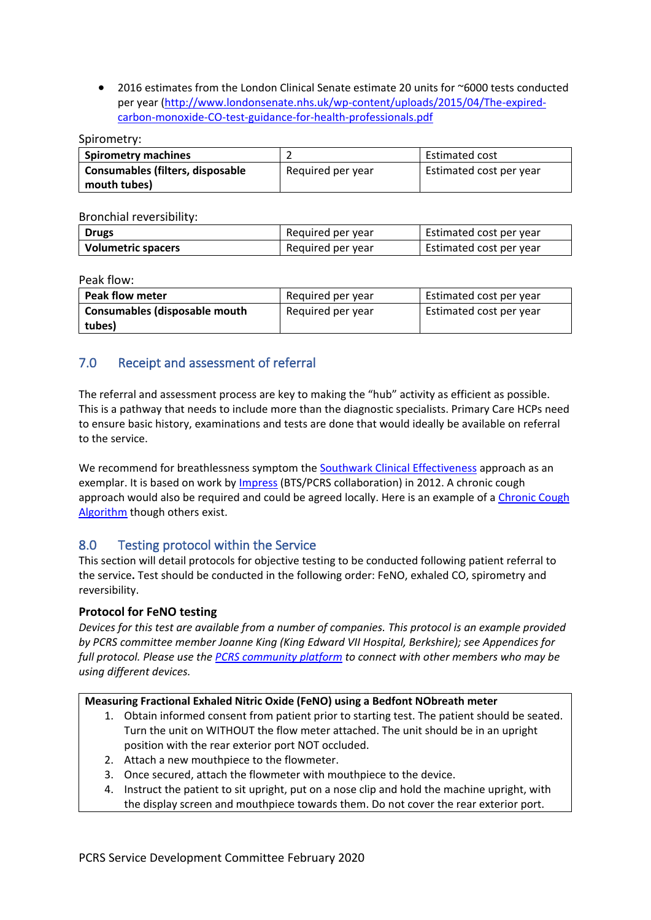• 2016 estimates from the London Clinical Senate estimate 20 units for ~6000 tests conducted per year [\(http://www.londonsenate.nhs.uk/wp-content/uploads/2015/04/The-expired](http://www.londonsenate.nhs.uk/wp-content/uploads/2015/04/The-expired-carbon-monoxide-CO-test-guidance-for-health-professionals.pdf)[carbon-monoxide-CO-test-guidance-for-health-professionals.pdf](http://www.londonsenate.nhs.uk/wp-content/uploads/2015/04/The-expired-carbon-monoxide-CO-test-guidance-for-health-professionals.pdf)

Spirometry:

| <b>Spirometry machines</b>       |                   | <b>Estimated cost</b>   |  |  |
|----------------------------------|-------------------|-------------------------|--|--|
| Consumables (filters, disposable | Required per year | Estimated cost per year |  |  |
| mouth tubes)                     |                   |                         |  |  |

Bronchial reversibility:

| <b>Drugs</b>              | Required per year | Estimated cost per year |
|---------------------------|-------------------|-------------------------|
| <b>Volumetric spacers</b> | Required per year | Estimated cost per year |

Peak flow:

| <b>Peak flow meter</b>        | Required per year | Estimated cost per year |
|-------------------------------|-------------------|-------------------------|
| Consumables (disposable mouth | Required per year | Estimated cost per year |
| tubes)                        |                   |                         |

## 7.0 Receipt and assessment of referral

The referral and assessment process are key to making the "hub" activity as efficient as possible. This is a pathway that needs to include more than the diagnostic specialists. Primary Care HCPs need to ensure basic history, examinations and tests are done that would ideally be available on referral to the service.

We recommend for breathlessness symptom the [Southwark Clinical Effectiveness](http://www.clinicaleffectivenesssouthwark.co.uk/) approach as an exemplar. It is based on work by [Impress](https://www.respiratoryfutures.org.uk/resources/impress-documents/impress-breathlessness-algorithm/) (BTS/PCRS collaboration) in 2012. A chronic cough approach would also be required and could be agreed locally. Here is an example of a [Chronic Cough](https://www.respiratoryacademy.co.uk/wp-content/uploads/2017/08/RCP-digital-breathlessness-adult-cough-assessment.pdf)  [Algorithm](https://www.respiratoryacademy.co.uk/wp-content/uploads/2017/08/RCP-digital-breathlessness-adult-cough-assessment.pdf) though others exist.

## 8.0 Testing protocol within the Service

This section will detail protocols for objective testing to be conducted following patient referral to the service**.** Test should be conducted in the following order: FeNO, exhaled CO, spirometry and reversibility.

## **Protocol for FeNO testing**

*Devices for this test are available from a number of companies. This protocol is an example provided by PCRS committee member Joanne King (King Edward VII Hospital, Berkshire); see Appendices for full protocol. Please use the [PCRS community platform](https://pcrscommunity.forumbee.com/) to connect with other members who may be using different devices.* 

## **Measuring Fractional Exhaled Nitric Oxide (FeNO) using a Bedfont NObreath meter**

- 1. Obtain informed consent from patient prior to starting test. The patient should be seated. Turn the unit on WITHOUT the flow meter attached. The unit should be in an upright position with the rear exterior port NOT occluded.
- 2. Attach a new mouthpiece to the flowmeter.
- 3. Once secured, attach the flowmeter with mouthpiece to the device.
- 4. Instruct the patient to sit upright, put on a nose clip and hold the machine upright, with the display screen and mouthpiece towards them. Do not cover the rear exterior port.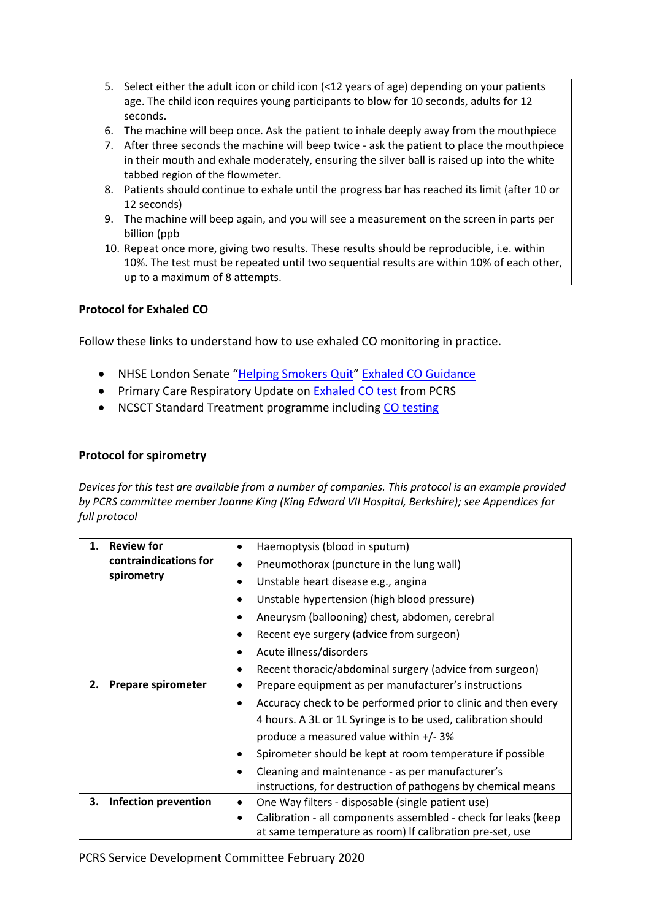- 5. Select either the adult icon or child icon (<12 years of age) depending on your patients age. The child icon requires young participants to blow for 10 seconds, adults for 12 seconds.
- 6. The machine will beep once. Ask the patient to inhale deeply away from the mouthpiece
- 7. After three seconds the machine will beep twice ask the patient to place the mouthpiece in their mouth and exhale moderately, ensuring the silver ball is raised up into the white tabbed region of the flowmeter.
- 8. Patients should continue to exhale until the progress bar has reached its limit (after 10 or 12 seconds)
- 9. The machine will beep again, and you will see a measurement on the screen in parts per billion (ppb
- 10. Repeat once more, giving two results. These results should be reproducible, i.e. within 10%. The test must be repeated until two sequential results are within 10% of each other, up to a maximum of 8 attempts.

## **Protocol for Exhaled CO**

Follow these links to understand how to use exhaled CO monitoring in practice.

- NHSE London Senate "[Helping Smokers Quit](http://www.londonsenate.nhs.uk/helping-smokers-quit/)" [Exhaled CO Guidance](http://www.londonsenate.nhs.uk/wp-content/uploads/2015/04/The-expired-carbon-monoxide-CO-test-guidance-for-health-professionals.pdf)
- Primary Care Respiratory Update on [Exhaled CO test](https://www.pcrs-uk.org/sites/pcrs-uk.org/files/CarbonMonoxideTesting.pdf) from PCRS
- NCSCT Standard Treatment programme including [CO testing](https://www.ncsct.co.uk/usr/pub/NCSCT%20STP.pdf)

## **Protocol for spirometry**

*Devices for this test are available from a number of companies. This protocol is an example provided by PCRS committee member Joanne King (King Edward VII Hospital, Berkshire); see Appendices for full protocol*

| <b>Review for</b><br>1. |                                     | $\bullet$ | Haemoptysis (blood in sputum)                                  |
|-------------------------|-------------------------------------|-----------|----------------------------------------------------------------|
|                         | contraindications for<br>spirometry | ٠         | Pneumothorax (puncture in the lung wall)                       |
|                         |                                     | ٠         | Unstable heart disease e.g., angina                            |
|                         |                                     | ٠         | Unstable hypertension (high blood pressure)                    |
|                         |                                     | $\bullet$ | Aneurysm (ballooning) chest, abdomen, cerebral                 |
|                         |                                     | ٠         | Recent eye surgery (advice from surgeon)                       |
|                         |                                     | $\bullet$ | Acute illness/disorders                                        |
|                         |                                     | $\bullet$ | Recent thoracic/abdominal surgery (advice from surgeon)        |
| 2.                      | <b>Prepare spirometer</b>           | ٠         | Prepare equipment as per manufacturer's instructions           |
|                         |                                     | $\bullet$ | Accuracy check to be performed prior to clinic and then every  |
|                         |                                     |           | 4 hours. A 3L or 1L Syringe is to be used, calibration should  |
|                         |                                     |           | produce a measured value within +/-3%                          |
|                         |                                     | $\bullet$ | Spirometer should be kept at room temperature if possible      |
|                         |                                     | $\bullet$ | Cleaning and maintenance - as per manufacturer's               |
|                         |                                     |           | instructions, for destruction of pathogens by chemical means   |
| З.                      | Infection prevention                | $\bullet$ | One Way filters - disposable (single patient use)              |
|                         |                                     | $\bullet$ | Calibration - all components assembled - check for leaks (keep |
|                         |                                     |           | at same temperature as room) If calibration pre-set, use       |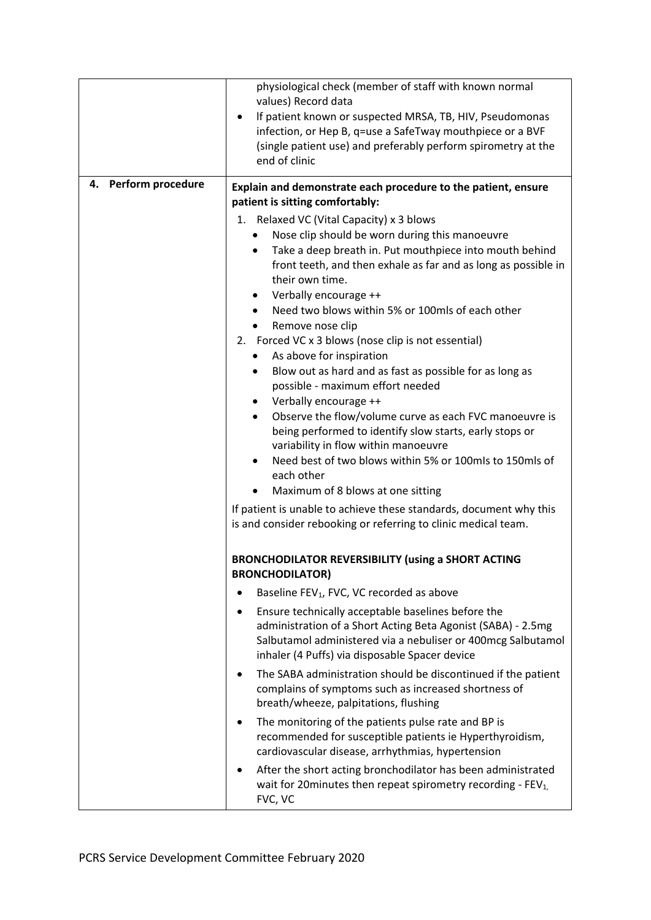|                         | physiological check (member of staff with known normal<br>values) Record data<br>If patient known or suspected MRSA, TB, HIV, Pseudomonas<br>infection, or Hep B, q=use a SafeTway mouthpiece or a BVF<br>(single patient use) and preferably perform spirometry at the<br>end of clinic |  |
|-------------------------|------------------------------------------------------------------------------------------------------------------------------------------------------------------------------------------------------------------------------------------------------------------------------------------|--|
| Perform procedure<br>4. | Explain and demonstrate each procedure to the patient, ensure                                                                                                                                                                                                                            |  |
|                         | patient is sitting comfortably:                                                                                                                                                                                                                                                          |  |
|                         | 1. Relaxed VC (Vital Capacity) x 3 blows                                                                                                                                                                                                                                                 |  |
|                         | Nose clip should be worn during this manoeuvre                                                                                                                                                                                                                                           |  |
|                         | Take a deep breath in. Put mouthpiece into mouth behind<br>front teeth, and then exhale as far and as long as possible in<br>their own time.                                                                                                                                             |  |
|                         | Verbally encourage ++                                                                                                                                                                                                                                                                    |  |
|                         | Need two blows within 5% or 100mls of each other                                                                                                                                                                                                                                         |  |
|                         | Remove nose clip<br>2. Forced VC x 3 blows (nose clip is not essential)                                                                                                                                                                                                                  |  |
|                         | As above for inspiration<br>٠                                                                                                                                                                                                                                                            |  |
|                         | Blow out as hard and as fast as possible for as long as<br>possible - maximum effort needed                                                                                                                                                                                              |  |
|                         | Verbally encourage ++                                                                                                                                                                                                                                                                    |  |
|                         | Observe the flow/volume curve as each FVC manoeuvre is<br>$\bullet$<br>being performed to identify slow starts, early stops or<br>variability in flow within manoeuvre                                                                                                                   |  |
|                         | Need best of two blows within 5% or 100mls to 150mls of<br>each other                                                                                                                                                                                                                    |  |
|                         | Maximum of 8 blows at one sitting                                                                                                                                                                                                                                                        |  |
|                         | If patient is unable to achieve these standards, document why this<br>is and consider rebooking or referring to clinic medical team.                                                                                                                                                     |  |
|                         | <b>BRONCHODILATOR REVERSIBILITY (using a SHORT ACTING</b><br><b>BRONCHODILATOR)</b>                                                                                                                                                                                                      |  |
|                         | Baseline FEV <sub>1</sub> , FVC, VC recorded as above                                                                                                                                                                                                                                    |  |
|                         | Ensure technically acceptable baselines before the<br>٠<br>administration of a Short Acting Beta Agonist (SABA) - 2.5mg<br>Salbutamol administered via a nebuliser or 400mcg Salbutamol<br>inhaler (4 Puffs) via disposable Spacer device                                                |  |
|                         | The SABA administration should be discontinued if the patient<br>complains of symptoms such as increased shortness of<br>breath/wheeze, palpitations, flushing                                                                                                                           |  |
|                         | The monitoring of the patients pulse rate and BP is<br>recommended for susceptible patients ie Hyperthyroidism,<br>cardiovascular disease, arrhythmias, hypertension                                                                                                                     |  |
|                         | After the short acting bronchodilator has been administrated<br>wait for 20 minutes then repeat spirometry recording - $FEV1$ ,<br>FVC, VC                                                                                                                                               |  |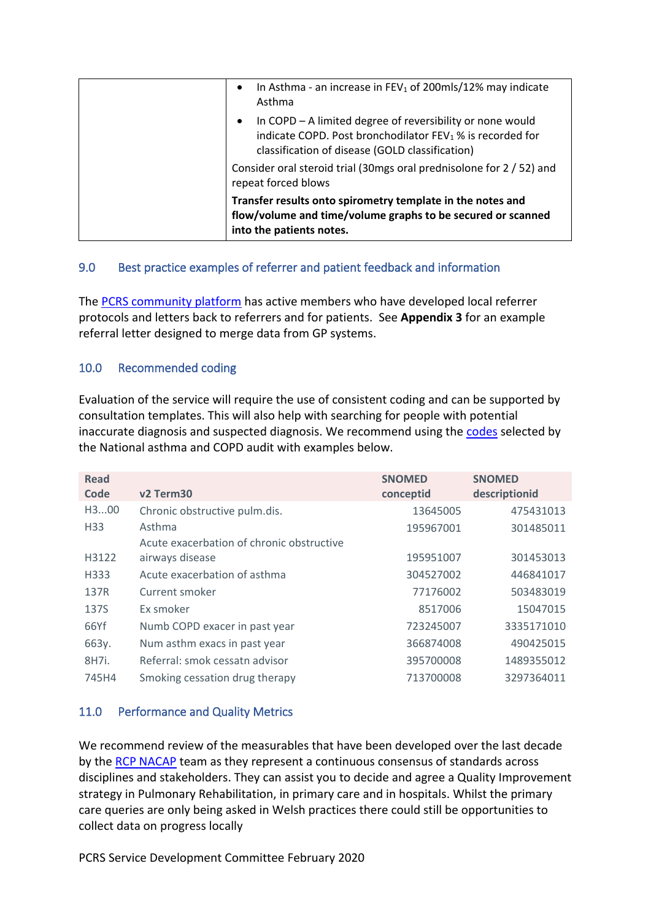| In Asthma - an increase in $FEV_1$ of 200mls/12% may indicate<br>$\bullet$<br>Asthma<br>In COPD - A limited degree of reversibility or none would<br>$\bullet$<br>indicate COPD. Post bronchodilator FEV <sub>1</sub> % is recorded for |
|-----------------------------------------------------------------------------------------------------------------------------------------------------------------------------------------------------------------------------------------|
| classification of disease (GOLD classification)                                                                                                                                                                                         |
| Consider oral steroid trial (30mgs oral prednisolone for 2 / 52) and<br>repeat forced blows                                                                                                                                             |
| Transfer results onto spirometry template in the notes and<br>flow/volume and time/volume graphs to be secured or scanned<br>into the patients notes.                                                                                   |

## 9.0 Best practice examples of referrer and patient feedback and information

The [PCRS community platform](https://pcrscommunity.forumbee.com/) has active members who have developed local referrer protocols and letters back to referrers and for patients. See **Appendix 3** for an example referral letter designed to merge data from GP systems.

## 10.0 Recommended coding

Evaluation of the service will require the use of consistent coding and can be supported by consultation templates. This will also help with searching for people with potential inaccurate diagnosis and suspected diagnosis. We recommend using the [codes](https://www.rcplondon.ac.uk/file/10022/download) selected by the National asthma and COPD audit with examples below.

| <b>Read</b><br>Code | v <sub>2</sub> Term <sub>30</sub>         | <b>SNOMED</b><br>conceptid | <b>SNOMED</b><br>descriptionid |
|---------------------|-------------------------------------------|----------------------------|--------------------------------|
| H300                | Chronic obstructive pulm.dis.             | 13645005                   | 475431013                      |
| H <sub>33</sub>     | Asthma                                    | 195967001                  | 301485011                      |
|                     | Acute exacerbation of chronic obstructive |                            |                                |
| H3122               | airways disease                           | 195951007                  | 301453013                      |
| H333                | Acute exacerbation of asthma              | 304527002                  | 446841017                      |
| 137R                | Current smoker                            | 77176002                   | 503483019                      |
| 137S                | Ex smoker                                 | 8517006                    | 15047015                       |
| 66Yf                | Numb COPD exacer in past year             | 723245007                  | 3335171010                     |
| 663y.               | Num asthm exacs in past year              | 366874008                  | 490425015                      |
| 8H7i.               | Referral: smok cessatn advisor            | 395700008                  | 1489355012                     |
| 745H4               | Smoking cessation drug therapy            | 713700008                  | 3297364011                     |

## 11.0 Performance and Quality Metrics

We recommend review of the measurables that have been developed over the last decade by the [RCP NACAP](https://www.rcplondon.ac.uk/projects/national-asthma-and-copd-audit-programme-nacap) team as they represent a continuous consensus of standards across disciplines and stakeholders. They can assist you to decide and agree a Quality Improvement strategy in Pulmonary Rehabilitation, in primary care and in hospitals. Whilst the primary care queries are only being asked in Welsh practices there could still be opportunities to collect data on progress locally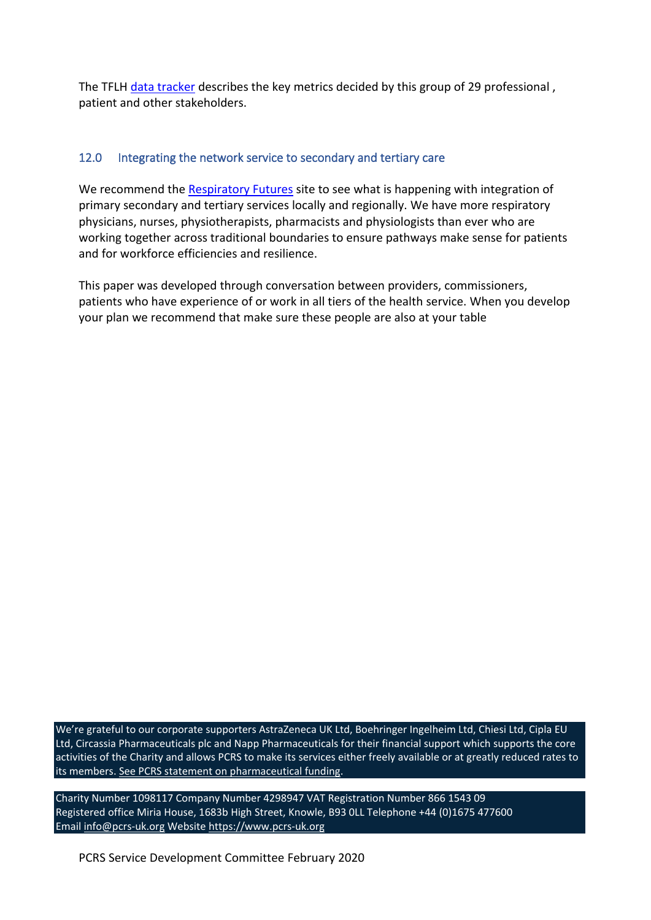The TFLH [data tracker](https://www.blf.org.uk/taskforce/data-tracker) describes the key metrics decided by this group of 29 professional, patient and other stakeholders.

## 12.0 Integrating the network service to secondary and tertiary care

We recommend the [Respiratory Futures](https://www.respiratoryfutures.org.uk/) site to see what is happening with integration of primary secondary and tertiary services locally and regionally. We have more respiratory physicians, nurses, physiotherapists, pharmacists and physiologists than ever who are working together across traditional boundaries to ensure pathways make sense for patients and for workforce efficiencies and resilience.

This paper was developed through conversation between providers, commissioners, patients who have experience of or work in all tiers of the health service. When you develop your plan we recommend that make sure these people are also at your table

We're grateful to our corporate supporters AstraZeneca UK Ltd, Boehringer Ingelheim Ltd, Chiesi Ltd, Cipla EU Ltd, Circassia Pharmaceuticals plc and Napp Pharmaceuticals for their financial support which supports the core activities of the Charity and allows PCRS to make its services either freely available or at greatly reduced rates to its members. [See PCRS statement on pharmaceutical funding.](https://www.pcrs-uk.org/company-papers)

Charity Number 1098117 Company Number 4298947 VAT Registration Number 866 1543 09 Registered office Miria House, 1683b High Street, Knowle, B93 0LL Telephone +44 (0)1675 477600 Email [info@pcrs-uk.org](mailto:info@pcrs-uk.org) Website [https://www.pcrs-uk.org](https://www.pcrs-uk.org/)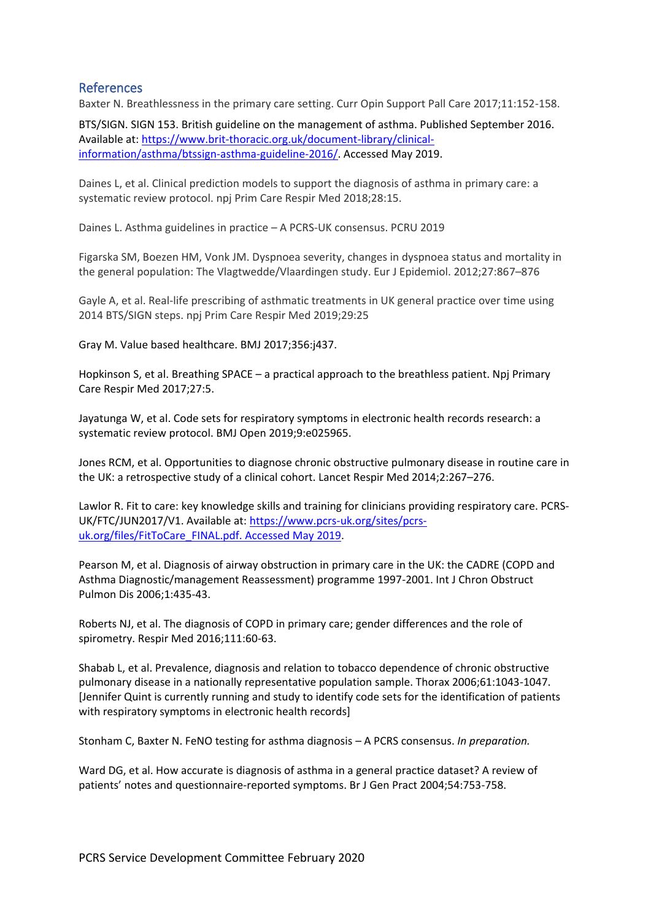## References

Baxter N. Breathlessness in the primary care setting. Curr Opin Support Pall Care 2017;11:152-158.

BTS/SIGN. SIGN 153. British guideline on the management of asthma. Published September 2016. Available at[: https://www.brit-thoracic.org.uk/document-library/clinical](https://www.brit-thoracic.org.uk/document-library/clinical-information/asthma/btssign-asthma-guideline-2016/)[information/asthma/btssign-asthma-guideline-2016/.](https://www.brit-thoracic.org.uk/document-library/clinical-information/asthma/btssign-asthma-guideline-2016/) Accessed May 2019.

Daines L, et al. Clinical prediction models to support the diagnosis of asthma in primary care: a systematic review protocol. npj Prim Care Respir Med 2018;28:15.

Daines L. Asthma guidelines in practice – A PCRS-UK consensus. PCRU 2019

Figarska SM, Boezen HM, Vonk JM. Dyspnoea severity, changes in dyspnoea status and mortality in the general population: The Vlagtwedde/Vlaardingen study. Eur J Epidemiol. 2012;27:867–876

Gayle A, et al. Real-life prescribing of asthmatic treatments in UK general practice over time using 2014 BTS/SIGN steps. npj Prim Care Respir Med 2019;29:25

Gray M. Value based healthcare. BMJ 2017;356:j437.

Hopkinson S, et al. Breathing SPACE – a practical approach to the breathless patient. Npj Primary Care Respir Med 2017;27:5.

Jayatunga W, et al. Code sets for respiratory symptoms in electronic health records research: a systematic review protocol. BMJ Open 2019;9:e025965.

Jones RCM, et al. Opportunities to diagnose chronic obstructive pulmonary disease in routine care in the UK: a retrospective study of a clinical cohort. Lancet Respir Med 2014;2:267–276.

Lawlor R. Fit to care: key knowledge skills and training for clinicians providing respiratory care. PCRS-UK/FTC/JUN2017/V1. Available at: [https://www.pcrs-uk.org/sites/pcrs](https://www.pcrs-uk.org/sites/pcrs-uk.org/files/FitToCare_FINAL.pdf.%20Accessed%20May%202019)[uk.org/files/FitToCare\\_FINAL.pdf. Accessed May 2019.](https://www.pcrs-uk.org/sites/pcrs-uk.org/files/FitToCare_FINAL.pdf.%20Accessed%20May%202019)

Pearson M, et al. Diagnosis of airway obstruction in primary care in the UK: the CADRE (COPD and Asthma Diagnostic/management Reassessment) programme 1997-2001. Int J Chron Obstruct Pulmon Dis 2006;1:435-43.

Roberts NJ, et al. The diagnosis of COPD in primary care; gender differences and the role of spirometry. Respir Med 2016;111:60-63.

Shabab L, et al. Prevalence, diagnosis and relation to tobacco dependence of chronic obstructive pulmonary disease in a nationally representative population sample. Thorax 2006;61:1043-1047. [Jennifer Quint is currently running and study to identify code sets for the identification of patients with respiratory symptoms in electronic health records]

Stonham C, Baxter N. FeNO testing for asthma diagnosis – A PCRS consensus. *In preparation.*

Ward DG, et al. How accurate is diagnosis of asthma in a general practice dataset? A review of patients' notes and questionnaire-reported symptoms. Br J Gen Pract 2004;54:753-758.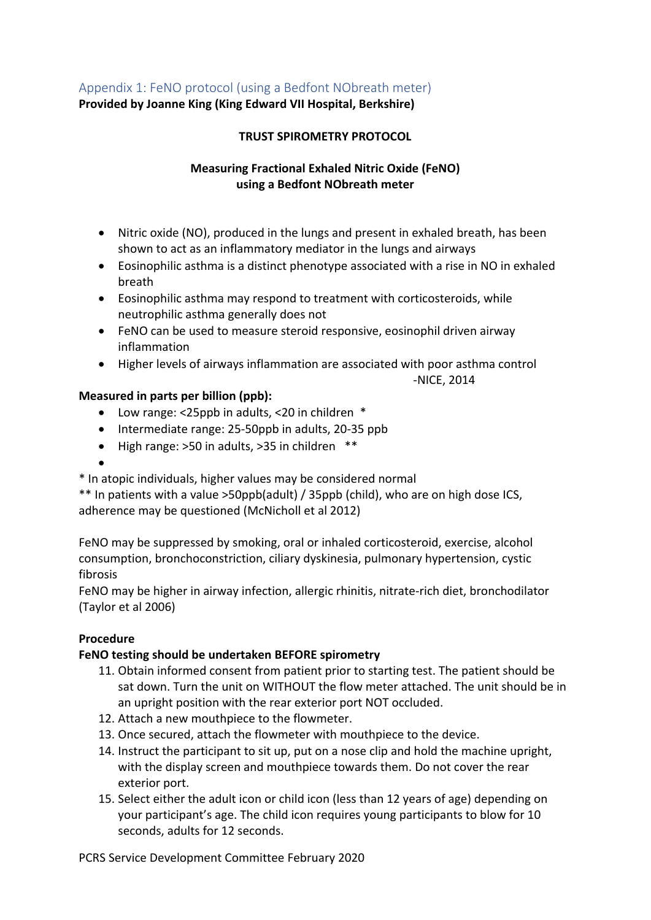## Appendix 1: FeNO protocol (using a Bedfont NObreath meter)

**Provided by Joanne King (King Edward VII Hospital, Berkshire)**

## **TRUST SPIROMETRY PROTOCOL**

## **Measuring Fractional Exhaled Nitric Oxide (FeNO) using a Bedfont NObreath meter**

- Nitric oxide (NO), produced in the lungs and present in exhaled breath, has been shown to act as an inflammatory mediator in the lungs and airways
- Eosinophilic asthma is a distinct phenotype associated with a rise in NO in exhaled breath
- Eosinophilic asthma may respond to treatment with corticosteroids, while neutrophilic asthma generally does not
- FeNO can be used to measure steroid responsive, eosinophil driven airway inflammation
- Higher levels of airways inflammation are associated with poor asthma control

-NICE, 2014

## **Measured in parts per billion (ppb):**

- Low range: <25ppb in adults, <20 in children \*
- Intermediate range: 25-50ppb in adults, 20-35 ppb
- High range: >50 in adults, >35 in children \*\*

•

\* In atopic individuals, higher values may be considered normal

\*\* In patients with a value >50ppb(adult) / 35ppb (child), who are on high dose ICS, adherence may be questioned (McNicholl et al 2012)

FeNO may be suppressed by smoking, oral or inhaled corticosteroid, exercise, alcohol consumption, bronchoconstriction, ciliary dyskinesia, pulmonary hypertension, cystic fibrosis

FeNO may be higher in airway infection, allergic rhinitis, nitrate-rich diet, bronchodilator (Taylor et al 2006)

## **Procedure**

## **FeNO testing should be undertaken BEFORE spirometry**

- 11. Obtain informed consent from patient prior to starting test. The patient should be sat down. Turn the unit on WITHOUT the flow meter attached. The unit should be in an upright position with the rear exterior port NOT occluded.
- 12. Attach a new mouthpiece to the flowmeter.
- 13. Once secured, attach the flowmeter with mouthpiece to the device.
- 14. Instruct the participant to sit up, put on a nose clip and hold the machine upright, with the display screen and mouthpiece towards them. Do not cover the rear exterior port.
- 15. Select either the adult icon or child icon (less than 12 years of age) depending on your participant's age. The child icon requires young participants to blow for 10 seconds, adults for 12 seconds.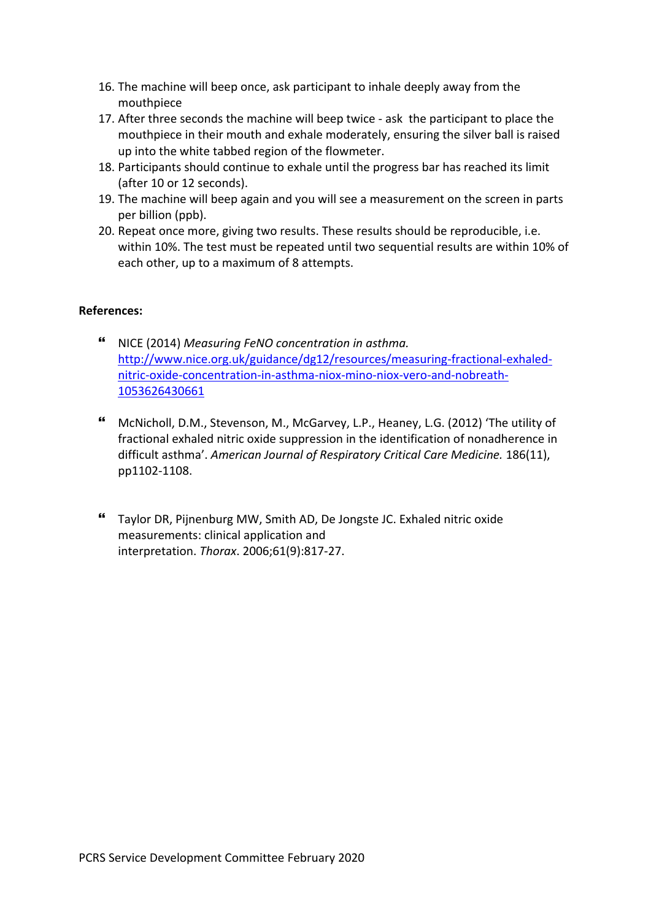- 16. The machine will beep once, ask participant to inhale deeply away from the mouthpiece
- 17. After three seconds the machine will beep twice ask the participant to place the mouthpiece in their mouth and exhale moderately, ensuring the silver ball is raised up into the white tabbed region of the flowmeter.
- 18. Participants should continue to exhale until the progress bar has reached its limit (after 10 or 12 seconds).
- 19. The machine will beep again and you will see a measurement on the screen in parts per billion (ppb).
- 20. Repeat once more, giving two results. These results should be reproducible, i.e. within 10%. The test must be repeated until two sequential results are within 10% of each other, up to a maximum of 8 attempts.

## **References:**

- NICE (2014) *Measuring FeNO concentration in asthma.* [http://www.nice.org.uk/guidance/dg12/resources/measuring-fractional-exhaled](http://www.nice.org.uk/guidance/dg12/resources/measuring-fractional-exhaled-nitric-oxide-concentration-in-asthma-niox-mino-niox-vero-and-nobreath-1053626430661)[nitric-oxide-concentration-in-asthma-niox-mino-niox-vero-and-nobreath-](http://www.nice.org.uk/guidance/dg12/resources/measuring-fractional-exhaled-nitric-oxide-concentration-in-asthma-niox-mino-niox-vero-and-nobreath-1053626430661)[1053626430661](http://www.nice.org.uk/guidance/dg12/resources/measuring-fractional-exhaled-nitric-oxide-concentration-in-asthma-niox-mino-niox-vero-and-nobreath-1053626430661)
- McNicholl, D.M., Stevenson, M., McGarvey, L.P., Heaney, L.G. (2012) 'The utility of fractional exhaled nitric oxide suppression in the identification of nonadherence in difficult asthma'. *American Journal of Respiratory Critical Care Medicine.* 186(11), pp1102-1108.
- Taylor DR, Pijnenburg MW, Smith AD, De Jongste JC. Exhaled nitric oxide measurements: clinical application and interpretation. *Thorax*. 2006;61(9):817-27.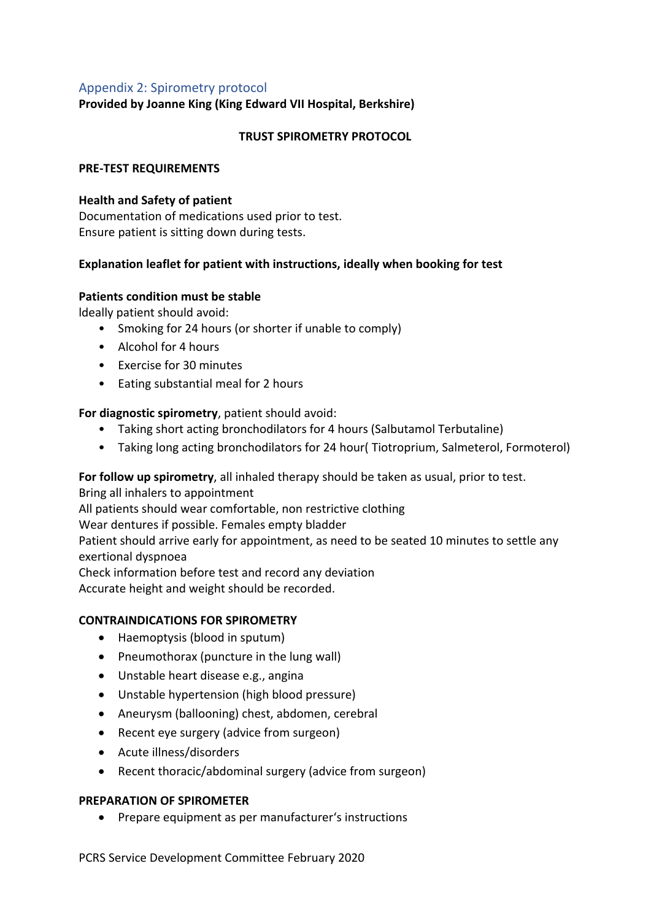## Appendix 2: Spirometry protocol

**Provided by Joanne King (King Edward VII Hospital, Berkshire)**

#### **TRUST SPIROMETRY PROTOCOL**

#### **PRE-TEST REQUIREMENTS**

#### **Health and Safety of patient**

Documentation of medications used prior to test. Ensure patient is sitting down during tests.

#### **Explanation leaflet for patient with instructions, ideally when booking for test**

#### **Patients condition must be stable**

ldeally patient should avoid:

- Smoking for 24 hours (or shorter if unable to comply)
- Alcohol for 4 hours
- Exercise for 30 minutes
- Eating substantial meal for 2 hours

## **For diagnostic spirometry**, patient should avoid:

- Taking short acting bronchodilators for 4 hours (Salbutamol Terbutaline)
- Taking long acting bronchodilators for 24 hour( Tiotroprium, Salmeterol, Formoterol)

**For follow up spirometry**, all inhaled therapy should be taken as usual, prior to test.

Bring all inhalers to appointment

All patients should wear comfortable, non restrictive clothing

Wear dentures if possible. Females empty bladder

Patient should arrive early for appointment, as need to be seated 10 minutes to settle any exertional dyspnoea

Check information before test and record any deviation

Accurate height and weight should be recorded.

#### **CONTRAINDICATIONS FOR SPIROMETRY**

- Haemoptysis (blood in sputum)
- Pneumothorax (puncture in the lung wall)
- Unstable heart disease e.g., angina
- Unstable hypertension (high blood pressure)
- Aneurysm (ballooning) chest, abdomen, cerebral
- Recent eye surgery (advice from surgeon)
- Acute illness/disorders
- Recent thoracic/abdominal surgery (advice from surgeon)

## **PREPARATION OF SPIROMETER**

• Prepare equipment as per manufacturer's instructions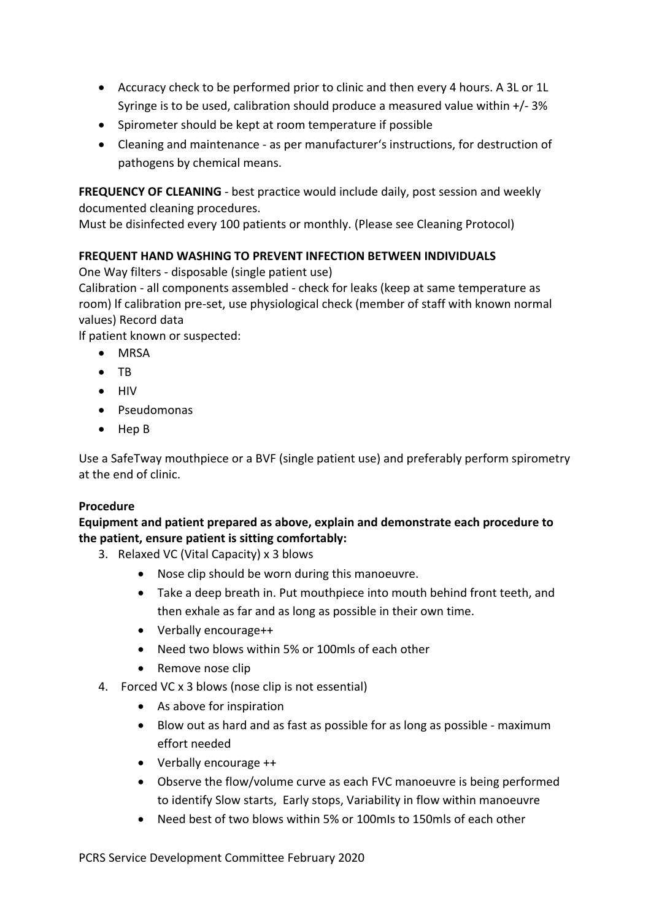- Accuracy check to be performed prior to clinic and then every 4 hours. A 3L or 1L Syringe is to be used, calibration should produce a measured value within +/- 3%
- Spirometer should be kept at room temperature if possible
- Cleaning and maintenance as per manufacturer's instructions, for destruction of pathogens by chemical means.

**FREQUENCY OF CLEANING** - best practice would include daily, post session and weekly documented cleaning procedures.

Must be disinfected every 100 patients or monthly. (Please see Cleaning Protocol)

## **FREQUENT HAND WASHING TO PREVENT INFECTION BETWEEN INDIVIDUALS**

One Way filters - disposable (single patient use)

Calibration - all components assembled - check for leaks (keep at same temperature as room) lf calibration pre-set, use physiological check (member of staff with known normal values) Record data

lf patient known or suspected:

- MRSA
- TB
- HIV
- Pseudomonas
- Hep B

Use a SafeTway mouthpiece or a BVF (single patient use) and preferably perform spirometry at the end of clinic.

## **Procedure**

## **Equipment and patient prepared as above, explain and demonstrate each procedure to the patient, ensure patient is sitting comfortably:**

- 3. Relaxed VC (Vital Capacity) x 3 blows
	- Nose clip should be worn during this manoeuvre.
	- Take a deep breath in. Put mouthpiece into mouth behind front teeth, and then exhale as far and as long as possible in their own time.
	- Verbally encourage++
	- Need two blows within 5% or 100mls of each other
	- Remove nose clip
- 4. Forced VC x 3 blows (nose clip is not essential)
	- As above for inspiration
	- Blow out as hard and as fast as possible for as long as possible maximum effort needed
	- Verbally encourage ++
	- Observe the flow/volume curve as each FVC manoeuvre is being performed to identify Slow starts, Early stops, Variability in flow within manoeuvre
	- Need best of two blows within 5% or 100mIs to 150mls of each other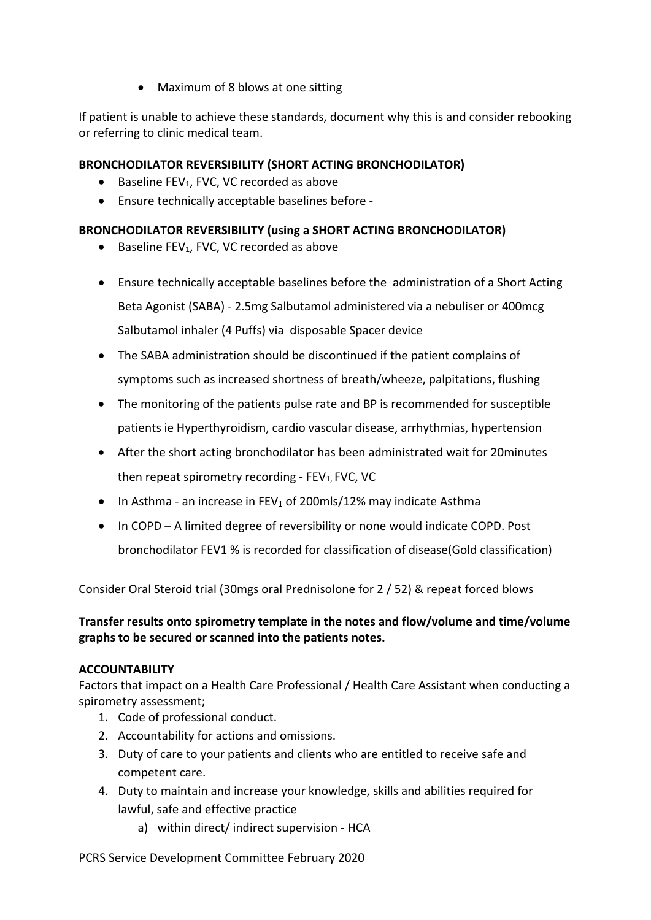• Maximum of 8 blows at one sitting

If patient is unable to achieve these standards, document why this is and consider rebooking or referring to clinic medical team.

## **BRONCHODILATOR REVERSIBILITY (SHORT ACTING BRONCHODILATOR)**

- Baseline FEV<sub>1</sub>, FVC, VC recorded as above
- Ensure technically acceptable baselines before -

## **BRONCHODILATOR REVERSIBILITY (using a SHORT ACTING BRONCHODILATOR)**

- $\bullet$  Baseline FEV<sub>1</sub>, FVC, VC recorded as above
- Ensure technically acceptable baselines before the administration of a Short Acting Beta Agonist (SABA) - 2.5mg Salbutamol administered via a nebuliser or 400mcg Salbutamol inhaler (4 Puffs) via disposable Spacer device
- The SABA administration should be discontinued if the patient complains of symptoms such as increased shortness of breath/wheeze, palpitations, flushing
- The monitoring of the patients pulse rate and BP is recommended for susceptible patients ie Hyperthyroidism, cardio vascular disease, arrhythmias, hypertension
- After the short acting bronchodilator has been administrated wait for 20minutes then repeat spirometry recording -  $FEV<sub>1</sub>$ , FVC, VC
- In Asthma an increase in FEV<sub>1</sub> of 200mls/12% may indicate Asthma
- In COPD A limited degree of reversibility or none would indicate COPD. Post bronchodilator FEV1 % is recorded for classification of disease(Gold classification)

Consider Oral Steroid trial (30mgs oral Prednisolone for 2 / 52) & repeat forced blows

**Transfer results onto spirometry template in the notes and flow/volume and time/volume graphs to be secured or scanned into the patients notes.** 

## **ACCOUNTABILITY**

Factors that impact on a Health Care Professional / Health Care Assistant when conducting a spirometry assessment;

- 1. Code of professional conduct.
- 2. Accountability for actions and omissions.
- 3. Duty of care to your patients and clients who are entitled to receive safe and competent care.
- 4. Duty to maintain and increase your knowledge, skills and abilities required for lawful, safe and effective practice
	- a) within direct/ indirect supervision HCA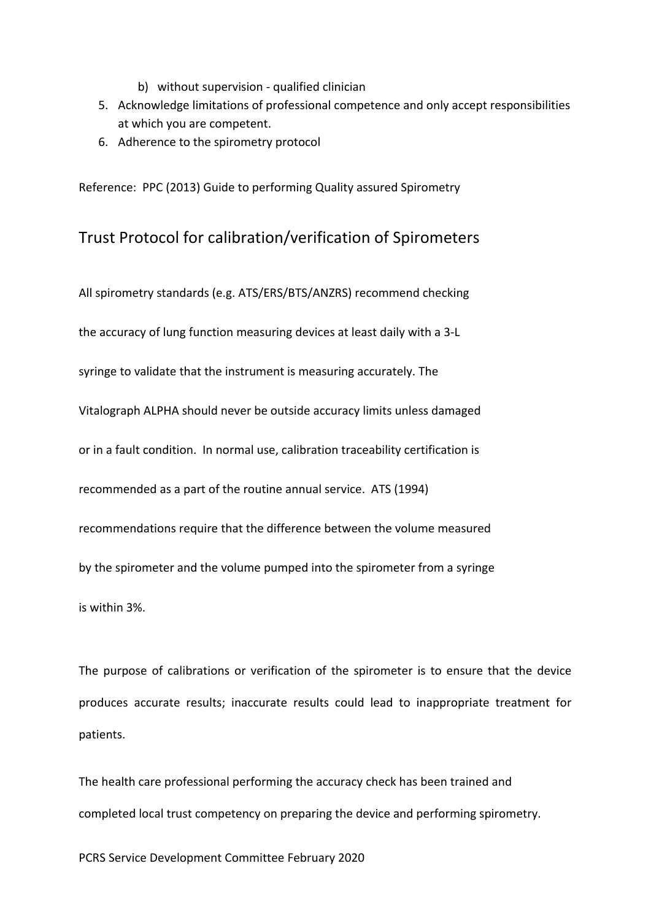- b) without supervision qualified clinician
- 5. Acknowledge limitations of professional competence and only accept responsibilities at which you are competent.
- 6. Adherence to the spirometry protocol

Reference: PPC (2013) Guide to performing Quality assured Spirometry

## Trust Protocol for calibration/verification of Spirometers

All spirometry standards (e.g. ATS/ERS/BTS/ANZRS) recommend checking the accuracy of lung function measuring devices at least daily with a 3-L syringe to validate that the instrument is measuring accurately. The Vitalograph ALPHA should never be outside accuracy limits unless damaged or in a fault condition. In normal use, calibration traceability certification is recommended as a part of the routine annual service. ATS (1994) recommendations require that the difference between the volume measured by the spirometer and the volume pumped into the spirometer from a syringe is within 3%.

The purpose of calibrations or verification of the spirometer is to ensure that the device produces accurate results; inaccurate results could lead to inappropriate treatment for patients.

The health care professional performing the accuracy check has been trained and completed local trust competency on preparing the device and performing spirometry.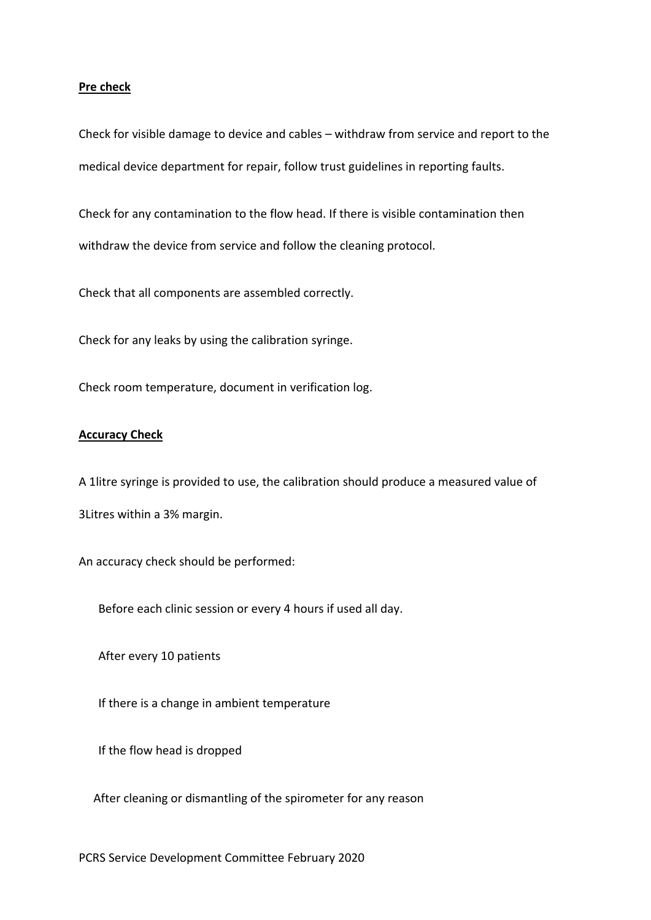#### **Pre check**

Check for visible damage to device and cables – withdraw from service and report to the medical device department for repair, follow trust guidelines in reporting faults.

Check for any contamination to the flow head. If there is visible contamination then withdraw the device from service and follow the cleaning protocol.

Check that all components are assembled correctly.

Check for any leaks by using the calibration syringe.

Check room temperature, document in verification log.

#### **Accuracy Check**

A 1litre syringe is provided to use, the calibration should produce a measured value of 3Litres within a 3% margin.

An accuracy check should be performed:

Before each clinic session or every 4 hours if used all day.

After every 10 patients

If there is a change in ambient temperature

If the flow head is dropped

After cleaning or dismantling of the spirometer for any reason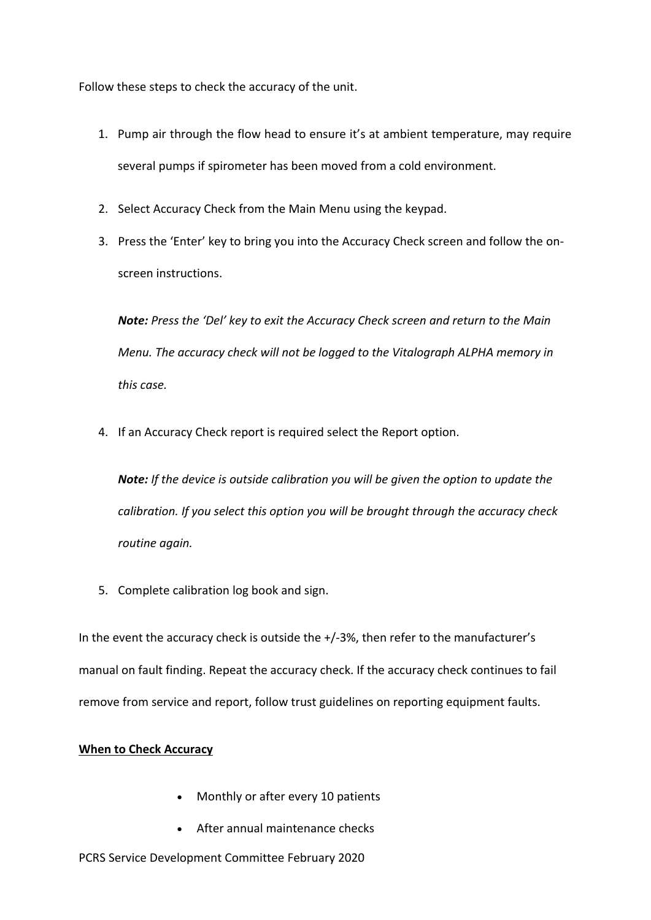Follow these steps to check the accuracy of the unit.

- 1. Pump air through the flow head to ensure it's at ambient temperature, may require several pumps if spirometer has been moved from a cold environment.
- 2. Select Accuracy Check from the Main Menu using the keypad.
- 3. Press the 'Enter' key to bring you into the Accuracy Check screen and follow the onscreen instructions.

*Note: Press the 'Del' key to exit the Accuracy Check screen and return to the Main Menu. The accuracy check will not be logged to the Vitalograph ALPHA memory in this case.* 

4. If an Accuracy Check report is required select the Report option.

*Note: If the device is outside calibration you will be given the option to update the calibration. If you select this option you will be brought through the accuracy check routine again.* 

5. Complete calibration log book and sign.

In the event the accuracy check is outside the +/-3%, then refer to the manufacturer's manual on fault finding. Repeat the accuracy check. If the accuracy check continues to fail remove from service and report, follow trust guidelines on reporting equipment faults.

## **When to Check Accuracy**

- Monthly or after every 10 patients
- After annual maintenance checks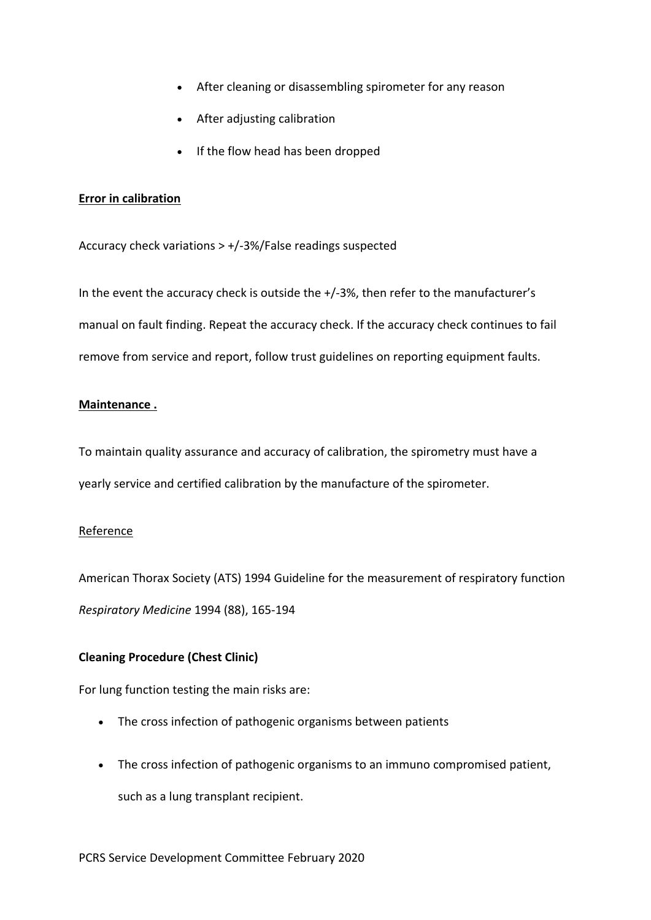- After cleaning or disassembling spirometer for any reason
- After adjusting calibration
- If the flow head has been dropped

#### **Error in calibration**

Accuracy check variations > +/-3%/False readings suspected

In the event the accuracy check is outside the +/-3%, then refer to the manufacturer's manual on fault finding. Repeat the accuracy check. If the accuracy check continues to fail remove from service and report, follow trust guidelines on reporting equipment faults.

## **Maintenance .**

To maintain quality assurance and accuracy of calibration, the spirometry must have a yearly service and certified calibration by the manufacture of the spirometer.

## Reference

American Thorax Society (ATS) 1994 Guideline for the measurement of respiratory function *Respiratory Medicine* 1994 (88), 165-194

## **Cleaning Procedure (Chest Clinic)**

For lung function testing the main risks are:

- The cross infection of pathogenic organisms between patients
- The cross infection of pathogenic organisms to an immuno compromised patient, such as a lung transplant recipient.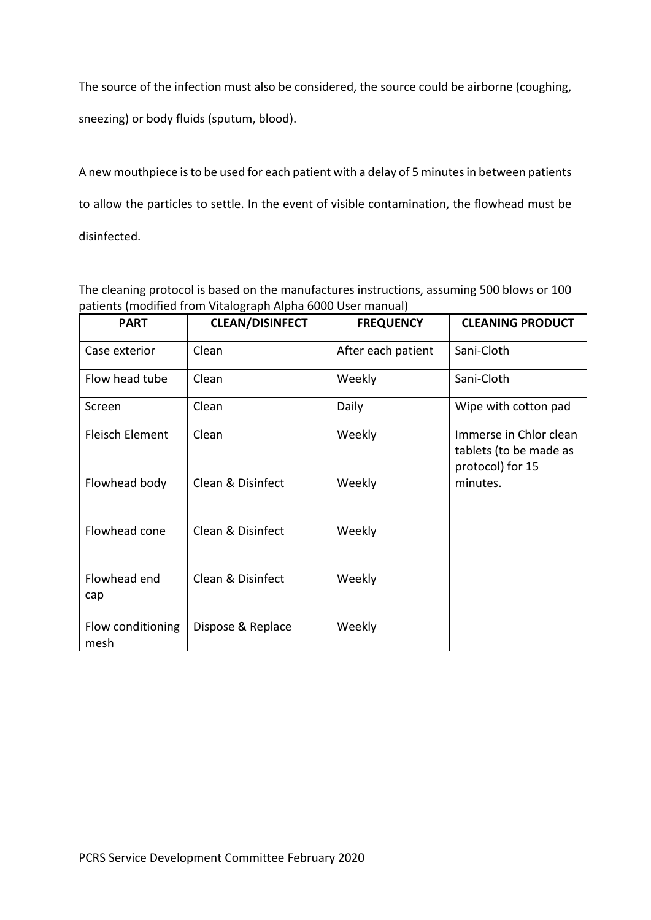The source of the infection must also be considered, the source could be airborne (coughing,

sneezing) or body fluids (sputum, blood).

A new mouthpiece is to be used for each patient with a delay of 5 minutes in between patients to allow the particles to settle. In the event of visible contamination, the flowhead must be disinfected.

The cleaning protocol is based on the manufactures instructions, assuming 500 blows or 100 patients (modified from Vitalograph Alpha 6000 User manual)

| <b>PART</b>               | <b>CLEAN/DISINFECT</b> | <b>FREQUENCY</b>   | <b>CLEANING PRODUCT</b>                                              |
|---------------------------|------------------------|--------------------|----------------------------------------------------------------------|
| Case exterior             | Clean                  | After each patient | Sani-Cloth                                                           |
| Flow head tube            | Clean                  | Weekly             | Sani-Cloth                                                           |
| Screen                    | Clean                  | Daily              | Wipe with cotton pad                                                 |
| <b>Fleisch Element</b>    | Clean                  | Weekly             | Immerse in Chlor clean<br>tablets (to be made as<br>protocol) for 15 |
| Flowhead body             | Clean & Disinfect      | Weekly             | minutes.                                                             |
| Flowhead cone             | Clean & Disinfect      | Weekly             |                                                                      |
| Flowhead end<br>cap       | Clean & Disinfect      | Weekly             |                                                                      |
| Flow conditioning<br>mesh | Dispose & Replace      | Weekly             |                                                                      |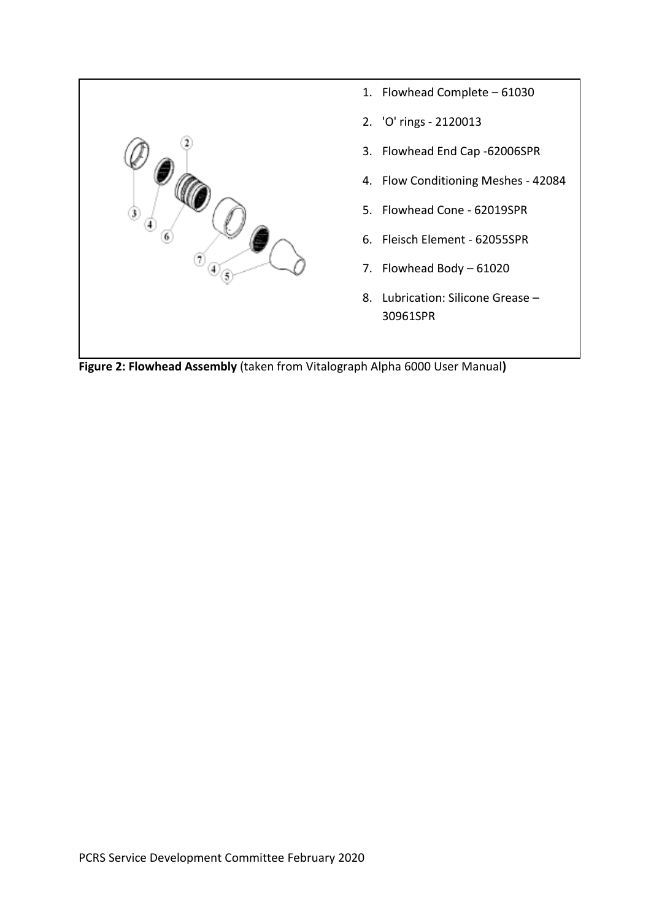

**Figure 2: Flowhead Assembly** (taken from Vitalograph Alpha 6000 User Manual**)**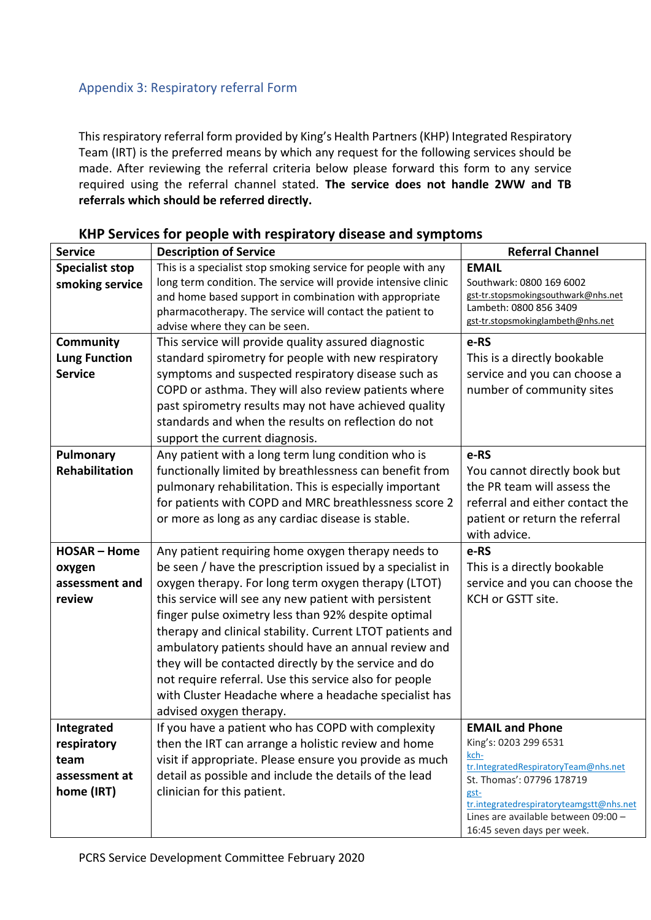## Appendix 3: Respiratory referral Form

This respiratory referral form provided by King's Health Partners (KHP) Integrated Respiratory Team (IRT) is the preferred means by which any request for the following services should be made. After reviewing the referral criteria below please forward this form to any service required using the referral channel stated. **The service does not handle 2WW and TB referrals which should be referred directly.** 

| <b>Service</b>         | <b>Description of Service</b>                                  | <b>Referral Channel</b>                                                         |  |
|------------------------|----------------------------------------------------------------|---------------------------------------------------------------------------------|--|
| <b>Specialist stop</b> | This is a specialist stop smoking service for people with any  | <b>EMAIL</b>                                                                    |  |
| smoking service        | long term condition. The service will provide intensive clinic | Southwark: 0800 169 6002                                                        |  |
|                        | and home based support in combination with appropriate         | gst-tr.stopsmokingsouthwark@nhs.net                                             |  |
|                        | pharmacotherapy. The service will contact the patient to       | Lambeth: 0800 856 3409<br>gst-tr.stopsmokinglambeth@nhs.net                     |  |
|                        | advise where they can be seen.                                 |                                                                                 |  |
| <b>Community</b>       | This service will provide quality assured diagnostic           | e-RS                                                                            |  |
| <b>Lung Function</b>   | standard spirometry for people with new respiratory            | This is a directly bookable                                                     |  |
| <b>Service</b>         | symptoms and suspected respiratory disease such as             | service and you can choose a                                                    |  |
|                        | COPD or asthma. They will also review patients where           | number of community sites                                                       |  |
|                        | past spirometry results may not have achieved quality          |                                                                                 |  |
|                        | standards and when the results on reflection do not            |                                                                                 |  |
|                        | support the current diagnosis.                                 |                                                                                 |  |
| Pulmonary              | Any patient with a long term lung condition who is             | e-RS                                                                            |  |
| Rehabilitation         | functionally limited by breathlessness can benefit from        | You cannot directly book but                                                    |  |
|                        | pulmonary rehabilitation. This is especially important         | the PR team will assess the                                                     |  |
|                        | for patients with COPD and MRC breathlessness score 2          | referral and either contact the                                                 |  |
|                        | or more as long as any cardiac disease is stable.              | patient or return the referral                                                  |  |
|                        |                                                                | with advice.                                                                    |  |
| <b>HOSAR - Home</b>    | Any patient requiring home oxygen therapy needs to             | e-RS                                                                            |  |
| oxygen                 | be seen / have the prescription issued by a specialist in      | This is a directly bookable                                                     |  |
| assessment and         | oxygen therapy. For long term oxygen therapy (LTOT)            | service and you can choose the                                                  |  |
| review                 | this service will see any new patient with persistent          | KCH or GSTT site.                                                               |  |
|                        | finger pulse oximetry less than 92% despite optimal            |                                                                                 |  |
|                        | therapy and clinical stability. Current LTOT patients and      |                                                                                 |  |
|                        | ambulatory patients should have an annual review and           |                                                                                 |  |
|                        | they will be contacted directly by the service and do          |                                                                                 |  |
|                        | not require referral. Use this service also for people         |                                                                                 |  |
|                        | with Cluster Headache where a headache specialist has          |                                                                                 |  |
|                        | advised oxygen therapy.                                        |                                                                                 |  |
| Integrated             | If you have a patient who has COPD with complexity             | <b>EMAIL and Phone</b>                                                          |  |
| respiratory            | then the IRT can arrange a holistic review and home            | King's: 0203 299 6531                                                           |  |
| team                   | visit if appropriate. Please ensure you provide as much        | kch-<br>tr.IntegratedRespiratoryTeam@nhs.net                                    |  |
| assessment at          | detail as possible and include the details of the lead         | St. Thomas': 07796 178719                                                       |  |
| home (IRT)             | clinician for this patient.                                    | gst-                                                                            |  |
|                        |                                                                | tr.integratedrespiratoryteamgstt@nhs.net<br>Lines are available between 09:00 - |  |
|                        |                                                                | 16:45 seven days per week.                                                      |  |

## **KHP Services for people with respiratory disease and symptoms**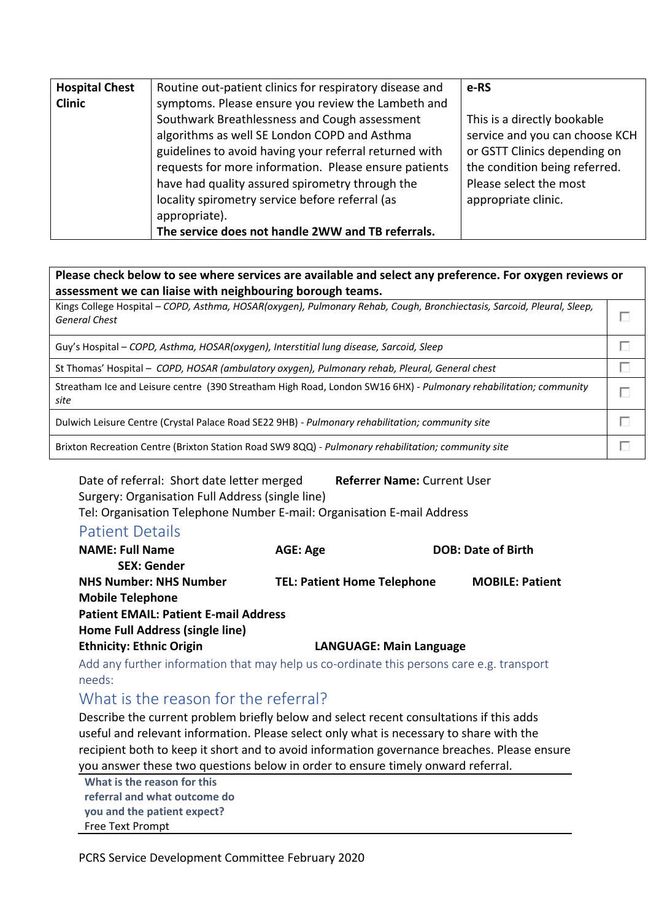| <b>Hospital Chest</b> | Routine out-patient clinics for respiratory disease and | e-RS                           |
|-----------------------|---------------------------------------------------------|--------------------------------|
| <b>Clinic</b>         | symptoms. Please ensure you review the Lambeth and      |                                |
|                       | Southwark Breathlessness and Cough assessment           | This is a directly bookable    |
|                       | algorithms as well SE London COPD and Asthma            | service and you can choose KCH |
|                       | guidelines to avoid having your referral returned with  | or GSTT Clinics depending on   |
|                       | requests for more information. Please ensure patients   | the condition being referred.  |
|                       | have had quality assured spirometry through the         | Please select the most         |
|                       | locality spirometry service before referral (as         | appropriate clinic.            |
|                       | appropriate).                                           |                                |
|                       | The service does not handle 2WW and TB referrals.       |                                |

**Please check below to see where services are available and select any preference. For oxygen reviews or assessment we can liaise with neighbouring borough teams.** 

Kings College Hospital – *COPD, Asthma, HOSAR(oxygen), Pulmonary Rehab, Cough, Bronchiectasis, Sarcoid, Pleural, Sleep,*  П *General Chest*

> П П

> П

П

Guy's Hospital – *COPD, Asthma, HOSAR(oxygen), Interstitial lung disease, Sarcoid, Sleep*

St Thomas' Hospital – *COPD, HOSAR (ambulatory oxygen), Pulmonary rehab, Pleural, General chest*

Streatham Ice and Leisure centre (390 Streatham High Road, London SW16 6HX) - *Pulmonary rehabilitation; community*   $\Box$ *site*

Dulwich Leisure Centre (Crystal Palace Road SE22 9HB) - *Pulmonary rehabilitation; community site*

Brixton Recreation Centre (Brixton Station Road SW9 8QQ) - *Pulmonary rehabilitation; community site*

Date of referral: Short date letter merged **Referrer Name:** Current User Surgery: Organisation Full Address (single line) Tel: Organisation Telephone Number E-mail: Organisation E-mail Address

## Patient Details

| <b>NAME: Full Name</b>                       | <b>AGE: Age</b>                    |                                | <b>DOB: Date of Birth</b> |
|----------------------------------------------|------------------------------------|--------------------------------|---------------------------|
| <b>SEX: Gender</b>                           |                                    |                                |                           |
| <b>NHS Number: NHS Number</b>                | <b>TEL: Patient Home Telephone</b> |                                | <b>MOBILE: Patient</b>    |
| <b>Mobile Telephone</b>                      |                                    |                                |                           |
| <b>Patient EMAIL: Patient E-mail Address</b> |                                    |                                |                           |
| Home Full Address (single line)              |                                    |                                |                           |
| <b>Ethnicity: Ethnic Origin</b>              |                                    | <b>LANGUAGE: Main Language</b> |                           |
|                                              |                                    |                                |                           |

Add any further information that may help us co-ordinate this persons care e.g. transport needs:

## What is the reason for the referral?

Describe the current problem briefly below and select recent consultations if this adds useful and relevant information. Please select only what is necessary to share with the recipient both to keep it short and to avoid information governance breaches. Please ensure you answer these two questions below in order to ensure timely onward referral.

**What is the reason for this referral and what outcome do you and the patient expect?**  Free Text Prompt